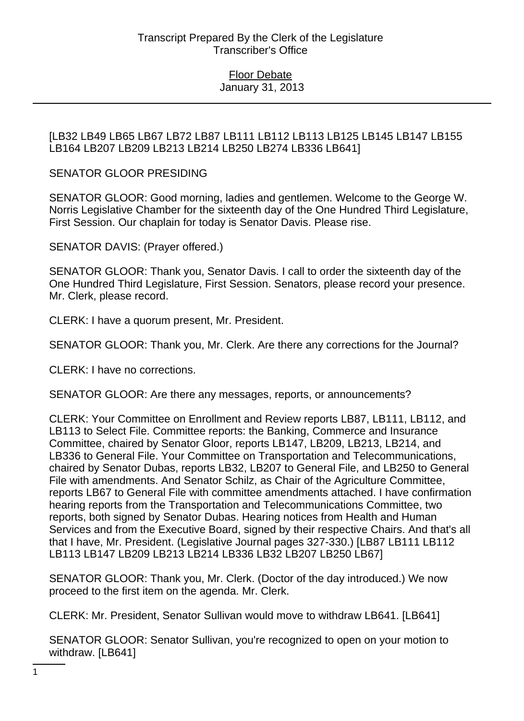## [LB32 LB49 LB65 LB67 LB72 LB87 LB111 LB112 LB113 LB125 LB145 LB147 LB155 LB164 LB207 LB209 LB213 LB214 LB250 LB274 LB336 LB641]

## SENATOR GLOOR PRESIDING

SENATOR GLOOR: Good morning, ladies and gentlemen. Welcome to the George W. Norris Legislative Chamber for the sixteenth day of the One Hundred Third Legislature, First Session. Our chaplain for today is Senator Davis. Please rise.

SENATOR DAVIS: (Prayer offered.)

SENATOR GLOOR: Thank you, Senator Davis. I call to order the sixteenth day of the One Hundred Third Legislature, First Session. Senators, please record your presence. Mr. Clerk, please record.

CLERK: I have a quorum present, Mr. President.

SENATOR GLOOR: Thank you, Mr. Clerk. Are there any corrections for the Journal?

CLERK: I have no corrections.

SENATOR GLOOR: Are there any messages, reports, or announcements?

CLERK: Your Committee on Enrollment and Review reports LB87, LB111, LB112, and LB113 to Select File. Committee reports: the Banking, Commerce and Insurance Committee, chaired by Senator Gloor, reports LB147, LB209, LB213, LB214, and LB336 to General File. Your Committee on Transportation and Telecommunications, chaired by Senator Dubas, reports LB32, LB207 to General File, and LB250 to General File with amendments. And Senator Schilz, as Chair of the Agriculture Committee, reports LB67 to General File with committee amendments attached. I have confirmation hearing reports from the Transportation and Telecommunications Committee, two reports, both signed by Senator Dubas. Hearing notices from Health and Human Services and from the Executive Board, signed by their respective Chairs. And that's all that I have, Mr. President. (Legislative Journal pages 327-330.) [LB87 LB111 LB112 LB113 LB147 LB209 LB213 LB214 LB336 LB32 LB207 LB250 LB67]

SENATOR GLOOR: Thank you, Mr. Clerk. (Doctor of the day introduced.) We now proceed to the first item on the agenda. Mr. Clerk.

CLERK: Mr. President, Senator Sullivan would move to withdraw LB641. [LB641]

SENATOR GLOOR: Senator Sullivan, you're recognized to open on your motion to withdraw. [LB641]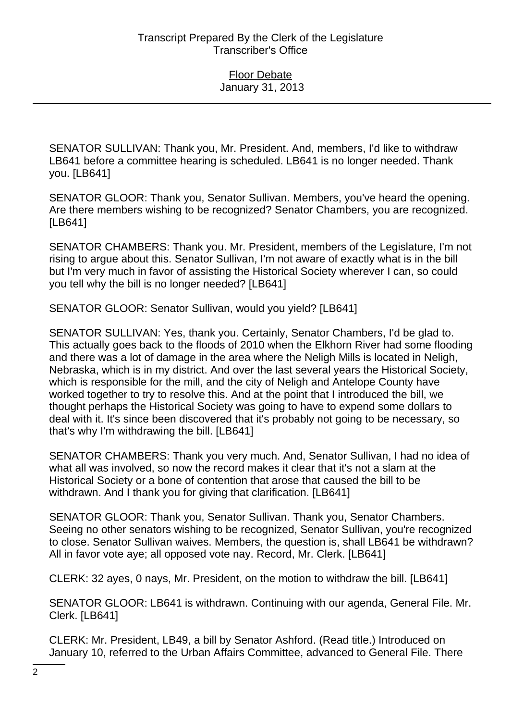SENATOR SULLIVAN: Thank you, Mr. President. And, members, I'd like to withdraw LB641 before a committee hearing is scheduled. LB641 is no longer needed. Thank you. [LB641]

SENATOR GLOOR: Thank you, Senator Sullivan. Members, you've heard the opening. Are there members wishing to be recognized? Senator Chambers, you are recognized. [LB641]

SENATOR CHAMBERS: Thank you. Mr. President, members of the Legislature, I'm not rising to argue about this. Senator Sullivan, I'm not aware of exactly what is in the bill but I'm very much in favor of assisting the Historical Society wherever I can, so could you tell why the bill is no longer needed? [LB641]

SENATOR GLOOR: Senator Sullivan, would you yield? [LB641]

SENATOR SULLIVAN: Yes, thank you. Certainly, Senator Chambers, I'd be glad to. This actually goes back to the floods of 2010 when the Elkhorn River had some flooding and there was a lot of damage in the area where the Neligh Mills is located in Neligh, Nebraska, which is in my district. And over the last several years the Historical Society, which is responsible for the mill, and the city of Neligh and Antelope County have worked together to try to resolve this. And at the point that I introduced the bill, we thought perhaps the Historical Society was going to have to expend some dollars to deal with it. It's since been discovered that it's probably not going to be necessary, so that's why I'm withdrawing the bill. [LB641]

SENATOR CHAMBERS: Thank you very much. And, Senator Sullivan, I had no idea of what all was involved, so now the record makes it clear that it's not a slam at the Historical Society or a bone of contention that arose that caused the bill to be withdrawn. And I thank you for giving that clarification. [LB641]

SENATOR GLOOR: Thank you, Senator Sullivan. Thank you, Senator Chambers. Seeing no other senators wishing to be recognized, Senator Sullivan, you're recognized to close. Senator Sullivan waives. Members, the question is, shall LB641 be withdrawn? All in favor vote aye; all opposed vote nay. Record, Mr. Clerk. [LB641]

CLERK: 32 ayes, 0 nays, Mr. President, on the motion to withdraw the bill. [LB641]

SENATOR GLOOR: LB641 is withdrawn. Continuing with our agenda, General File. Mr. Clerk. [LB641]

CLERK: Mr. President, LB49, a bill by Senator Ashford. (Read title.) Introduced on January 10, referred to the Urban Affairs Committee, advanced to General File. There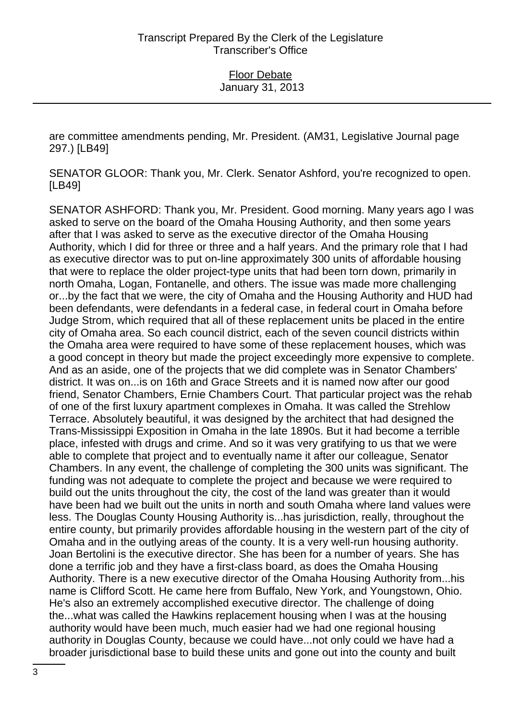are committee amendments pending, Mr. President. (AM31, Legislative Journal page 297.) [LB49]

SENATOR GLOOR: Thank you, Mr. Clerk. Senator Ashford, you're recognized to open. [LB49]

SENATOR ASHFORD: Thank you, Mr. President. Good morning. Many years ago I was asked to serve on the board of the Omaha Housing Authority, and then some years after that I was asked to serve as the executive director of the Omaha Housing Authority, which I did for three or three and a half years. And the primary role that I had as executive director was to put on-line approximately 300 units of affordable housing that were to replace the older project-type units that had been torn down, primarily in north Omaha, Logan, Fontanelle, and others. The issue was made more challenging or...by the fact that we were, the city of Omaha and the Housing Authority and HUD had been defendants, were defendants in a federal case, in federal court in Omaha before Judge Strom, which required that all of these replacement units be placed in the entire city of Omaha area. So each council district, each of the seven council districts within the Omaha area were required to have some of these replacement houses, which was a good concept in theory but made the project exceedingly more expensive to complete. And as an aside, one of the projects that we did complete was in Senator Chambers' district. It was on...is on 16th and Grace Streets and it is named now after our good friend, Senator Chambers, Ernie Chambers Court. That particular project was the rehab of one of the first luxury apartment complexes in Omaha. It was called the Strehlow Terrace. Absolutely beautiful, it was designed by the architect that had designed the Trans-Mississippi Exposition in Omaha in the late 1890s. But it had become a terrible place, infested with drugs and crime. And so it was very gratifying to us that we were able to complete that project and to eventually name it after our colleague, Senator Chambers. In any event, the challenge of completing the 300 units was significant. The funding was not adequate to complete the project and because we were required to build out the units throughout the city, the cost of the land was greater than it would have been had we built out the units in north and south Omaha where land values were less. The Douglas County Housing Authority is...has jurisdiction, really, throughout the entire county, but primarily provides affordable housing in the western part of the city of Omaha and in the outlying areas of the county. It is a very well-run housing authority. Joan Bertolini is the executive director. She has been for a number of years. She has done a terrific job and they have a first-class board, as does the Omaha Housing Authority. There is a new executive director of the Omaha Housing Authority from...his name is Clifford Scott. He came here from Buffalo, New York, and Youngstown, Ohio. He's also an extremely accomplished executive director. The challenge of doing the...what was called the Hawkins replacement housing when I was at the housing authority would have been much, much easier had we had one regional housing authority in Douglas County, because we could have...not only could we have had a broader jurisdictional base to build these units and gone out into the county and built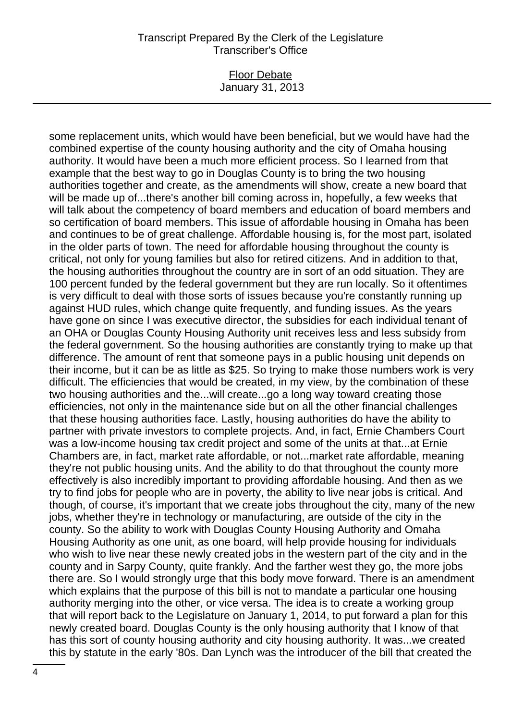#### Floor Debate January 31, 2013

some replacement units, which would have been beneficial, but we would have had the combined expertise of the county housing authority and the city of Omaha housing authority. It would have been a much more efficient process. So I learned from that example that the best way to go in Douglas County is to bring the two housing authorities together and create, as the amendments will show, create a new board that will be made up of...there's another bill coming across in, hopefully, a few weeks that will talk about the competency of board members and education of board members and so certification of board members. This issue of affordable housing in Omaha has been and continues to be of great challenge. Affordable housing is, for the most part, isolated in the older parts of town. The need for affordable housing throughout the county is critical, not only for young families but also for retired citizens. And in addition to that, the housing authorities throughout the country are in sort of an odd situation. They are 100 percent funded by the federal government but they are run locally. So it oftentimes is very difficult to deal with those sorts of issues because you're constantly running up against HUD rules, which change quite frequently, and funding issues. As the years have gone on since I was executive director, the subsidies for each individual tenant of an OHA or Douglas County Housing Authority unit receives less and less subsidy from the federal government. So the housing authorities are constantly trying to make up that difference. The amount of rent that someone pays in a public housing unit depends on their income, but it can be as little as \$25. So trying to make those numbers work is very difficult. The efficiencies that would be created, in my view, by the combination of these two housing authorities and the...will create...go a long way toward creating those efficiencies, not only in the maintenance side but on all the other financial challenges that these housing authorities face. Lastly, housing authorities do have the ability to partner with private investors to complete projects. And, in fact, Ernie Chambers Court was a low-income housing tax credit project and some of the units at that...at Ernie Chambers are, in fact, market rate affordable, or not...market rate affordable, meaning they're not public housing units. And the ability to do that throughout the county more effectively is also incredibly important to providing affordable housing. And then as we try to find jobs for people who are in poverty, the ability to live near jobs is critical. And though, of course, it's important that we create jobs throughout the city, many of the new jobs, whether they're in technology or manufacturing, are outside of the city in the county. So the ability to work with Douglas County Housing Authority and Omaha Housing Authority as one unit, as one board, will help provide housing for individuals who wish to live near these newly created jobs in the western part of the city and in the county and in Sarpy County, quite frankly. And the farther west they go, the more jobs there are. So I would strongly urge that this body move forward. There is an amendment which explains that the purpose of this bill is not to mandate a particular one housing authority merging into the other, or vice versa. The idea is to create a working group that will report back to the Legislature on January 1, 2014, to put forward a plan for this newly created board. Douglas County is the only housing authority that I know of that has this sort of county housing authority and city housing authority. It was...we created this by statute in the early '80s. Dan Lynch was the introducer of the bill that created the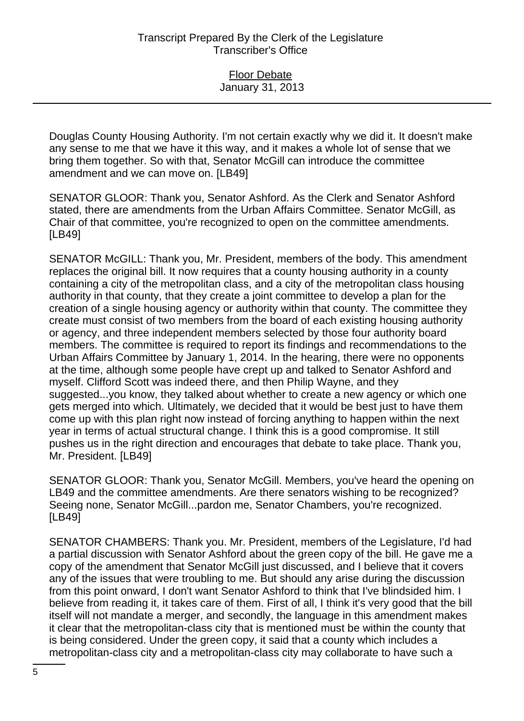Douglas County Housing Authority. I'm not certain exactly why we did it. It doesn't make any sense to me that we have it this way, and it makes a whole lot of sense that we bring them together. So with that, Senator McGill can introduce the committee amendment and we can move on. [LB49]

SENATOR GLOOR: Thank you, Senator Ashford. As the Clerk and Senator Ashford stated, there are amendments from the Urban Affairs Committee. Senator McGill, as Chair of that committee, you're recognized to open on the committee amendments. [LB49]

SENATOR McGILL: Thank you, Mr. President, members of the body. This amendment replaces the original bill. It now requires that a county housing authority in a county containing a city of the metropolitan class, and a city of the metropolitan class housing authority in that county, that they create a joint committee to develop a plan for the creation of a single housing agency or authority within that county. The committee they create must consist of two members from the board of each existing housing authority or agency, and three independent members selected by those four authority board members. The committee is required to report its findings and recommendations to the Urban Affairs Committee by January 1, 2014. In the hearing, there were no opponents at the time, although some people have crept up and talked to Senator Ashford and myself. Clifford Scott was indeed there, and then Philip Wayne, and they suggested...you know, they talked about whether to create a new agency or which one gets merged into which. Ultimately, we decided that it would be best just to have them come up with this plan right now instead of forcing anything to happen within the next year in terms of actual structural change. I think this is a good compromise. It still pushes us in the right direction and encourages that debate to take place. Thank you, Mr. President. [LB49]

SENATOR GLOOR: Thank you, Senator McGill. Members, you've heard the opening on LB49 and the committee amendments. Are there senators wishing to be recognized? Seeing none, Senator McGill...pardon me, Senator Chambers, you're recognized. [LB49]

SENATOR CHAMBERS: Thank you. Mr. President, members of the Legislature, I'd had a partial discussion with Senator Ashford about the green copy of the bill. He gave me a copy of the amendment that Senator McGill just discussed, and I believe that it covers any of the issues that were troubling to me. But should any arise during the discussion from this point onward, I don't want Senator Ashford to think that I've blindsided him. I believe from reading it, it takes care of them. First of all, I think it's very good that the bill itself will not mandate a merger, and secondly, the language in this amendment makes it clear that the metropolitan-class city that is mentioned must be within the county that is being considered. Under the green copy, it said that a county which includes a metropolitan-class city and a metropolitan-class city may collaborate to have such a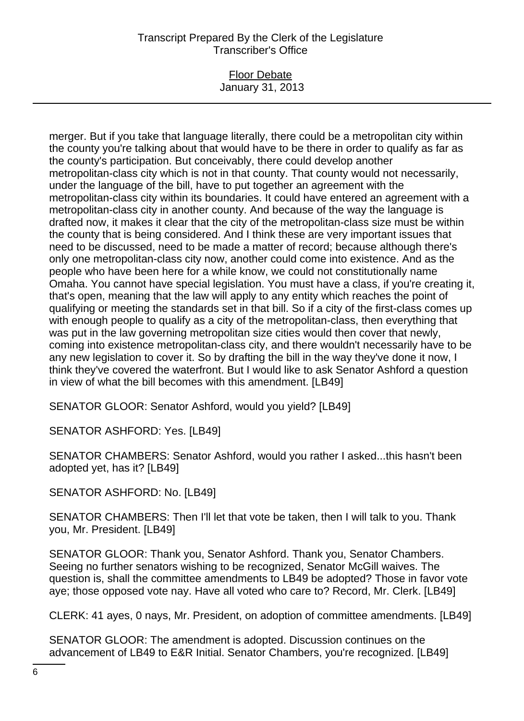#### Floor Debate January 31, 2013

merger. But if you take that language literally, there could be a metropolitan city within the county you're talking about that would have to be there in order to qualify as far as the county's participation. But conceivably, there could develop another metropolitan-class city which is not in that county. That county would not necessarily, under the language of the bill, have to put together an agreement with the metropolitan-class city within its boundaries. It could have entered an agreement with a metropolitan-class city in another county. And because of the way the language is drafted now, it makes it clear that the city of the metropolitan-class size must be within the county that is being considered. And I think these are very important issues that need to be discussed, need to be made a matter of record; because although there's only one metropolitan-class city now, another could come into existence. And as the people who have been here for a while know, we could not constitutionally name Omaha. You cannot have special legislation. You must have a class, if you're creating it, that's open, meaning that the law will apply to any entity which reaches the point of qualifying or meeting the standards set in that bill. So if a city of the first-class comes up with enough people to qualify as a city of the metropolitan-class, then everything that was put in the law governing metropolitan size cities would then cover that newly, coming into existence metropolitan-class city, and there wouldn't necessarily have to be any new legislation to cover it. So by drafting the bill in the way they've done it now, I think they've covered the waterfront. But I would like to ask Senator Ashford a question in view of what the bill becomes with this amendment. [LB49]

SENATOR GLOOR: Senator Ashford, would you yield? [LB49]

SENATOR ASHFORD: Yes. [LB49]

SENATOR CHAMBERS: Senator Ashford, would you rather I asked...this hasn't been adopted yet, has it? [LB49]

SENATOR ASHFORD: No. [LB49]

SENATOR CHAMBERS: Then I'll let that vote be taken, then I will talk to you. Thank you, Mr. President. [LB49]

SENATOR GLOOR: Thank you, Senator Ashford. Thank you, Senator Chambers. Seeing no further senators wishing to be recognized, Senator McGill waives. The question is, shall the committee amendments to LB49 be adopted? Those in favor vote aye; those opposed vote nay. Have all voted who care to? Record, Mr. Clerk. [LB49]

CLERK: 41 ayes, 0 nays, Mr. President, on adoption of committee amendments. [LB49]

SENATOR GLOOR: The amendment is adopted. Discussion continues on the advancement of LB49 to E&R Initial. Senator Chambers, you're recognized. [LB49]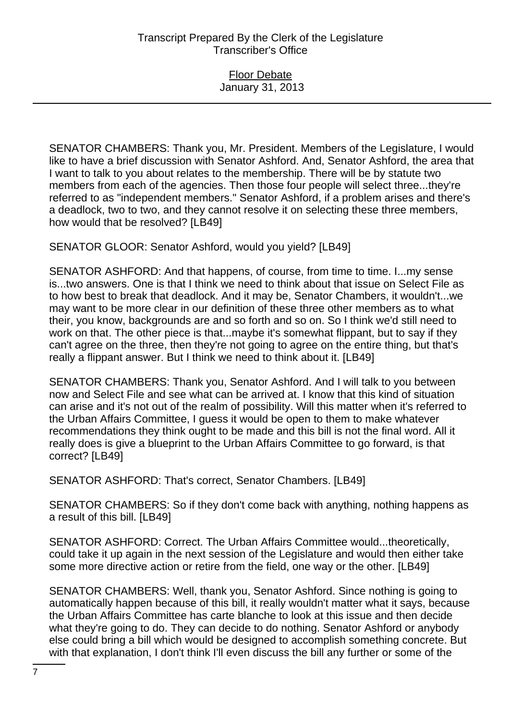Floor Debate January 31, 2013

SENATOR CHAMBERS: Thank you, Mr. President. Members of the Legislature, I would like to have a brief discussion with Senator Ashford. And, Senator Ashford, the area that I want to talk to you about relates to the membership. There will be by statute two members from each of the agencies. Then those four people will select three...they're referred to as "independent members." Senator Ashford, if a problem arises and there's a deadlock, two to two, and they cannot resolve it on selecting these three members, how would that be resolved? [LB49]

SENATOR GLOOR: Senator Ashford, would you yield? [LB49]

SENATOR ASHFORD: And that happens, of course, from time to time. I...my sense is...two answers. One is that I think we need to think about that issue on Select File as to how best to break that deadlock. And it may be, Senator Chambers, it wouldn't...we may want to be more clear in our definition of these three other members as to what their, you know, backgrounds are and so forth and so on. So I think we'd still need to work on that. The other piece is that...maybe it's somewhat flippant, but to say if they can't agree on the three, then they're not going to agree on the entire thing, but that's really a flippant answer. But I think we need to think about it. [LB49]

SENATOR CHAMBERS: Thank you, Senator Ashford. And I will talk to you between now and Select File and see what can be arrived at. I know that this kind of situation can arise and it's not out of the realm of possibility. Will this matter when it's referred to the Urban Affairs Committee, I guess it would be open to them to make whatever recommendations they think ought to be made and this bill is not the final word. All it really does is give a blueprint to the Urban Affairs Committee to go forward, is that correct? [LB49]

SENATOR ASHFORD: That's correct, Senator Chambers. [LB49]

SENATOR CHAMBERS: So if they don't come back with anything, nothing happens as a result of this bill. [LB49]

SENATOR ASHFORD: Correct. The Urban Affairs Committee would...theoretically, could take it up again in the next session of the Legislature and would then either take some more directive action or retire from the field, one way or the other. [LB49]

SENATOR CHAMBERS: Well, thank you, Senator Ashford. Since nothing is going to automatically happen because of this bill, it really wouldn't matter what it says, because the Urban Affairs Committee has carte blanche to look at this issue and then decide what they're going to do. They can decide to do nothing. Senator Ashford or anybody else could bring a bill which would be designed to accomplish something concrete. But with that explanation, I don't think I'll even discuss the bill any further or some of the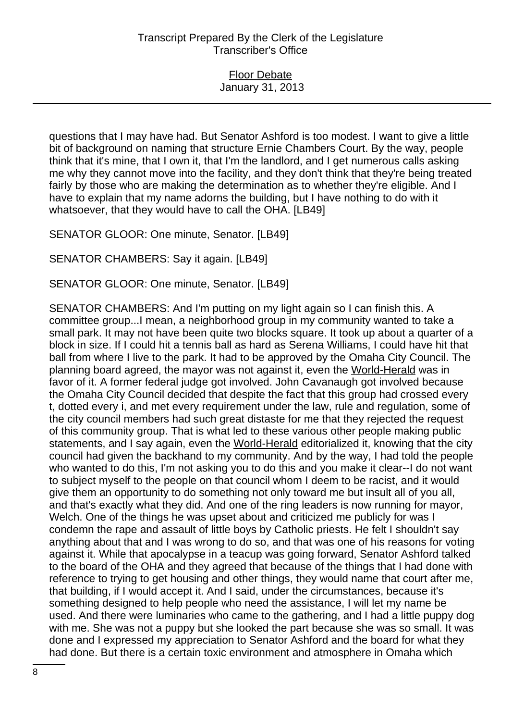Floor Debate January 31, 2013

questions that I may have had. But Senator Ashford is too modest. I want to give a little bit of background on naming that structure Ernie Chambers Court. By the way, people think that it's mine, that I own it, that I'm the landlord, and I get numerous calls asking me why they cannot move into the facility, and they don't think that they're being treated fairly by those who are making the determination as to whether they're eligible. And I have to explain that my name adorns the building, but I have nothing to do with it whatsoever, that they would have to call the OHA. [LB49]

SENATOR GLOOR: One minute, Senator. [LB49]

SENATOR CHAMBERS: Say it again. [LB49]

SENATOR GLOOR: One minute, Senator. [LB49]

SENATOR CHAMBERS: And I'm putting on my light again so I can finish this. A committee group...I mean, a neighborhood group in my community wanted to take a small park. It may not have been quite two blocks square. It took up about a quarter of a block in size. If I could hit a tennis ball as hard as Serena Williams, I could have hit that ball from where I live to the park. It had to be approved by the Omaha City Council. The planning board agreed, the mayor was not against it, even the World-Herald was in favor of it. A former federal judge got involved. John Cavanaugh got involved because the Omaha City Council decided that despite the fact that this group had crossed every t, dotted every i, and met every requirement under the law, rule and regulation, some of the city council members had such great distaste for me that they rejected the request of this community group. That is what led to these various other people making public statements, and I say again, even the World-Herald editorialized it, knowing that the city council had given the backhand to my community. And by the way, I had told the people who wanted to do this, I'm not asking you to do this and you make it clear--I do not want to subject myself to the people on that council whom I deem to be racist, and it would give them an opportunity to do something not only toward me but insult all of you all, and that's exactly what they did. And one of the ring leaders is now running for mayor, Welch. One of the things he was upset about and criticized me publicly for was I condemn the rape and assault of little boys by Catholic priests. He felt I shouldn't say anything about that and I was wrong to do so, and that was one of his reasons for voting against it. While that apocalypse in a teacup was going forward, Senator Ashford talked to the board of the OHA and they agreed that because of the things that I had done with reference to trying to get housing and other things, they would name that court after me, that building, if I would accept it. And I said, under the circumstances, because it's something designed to help people who need the assistance, I will let my name be used. And there were luminaries who came to the gathering, and I had a little puppy dog with me. She was not a puppy but she looked the part because she was so small. It was done and I expressed my appreciation to Senator Ashford and the board for what they had done. But there is a certain toxic environment and atmosphere in Omaha which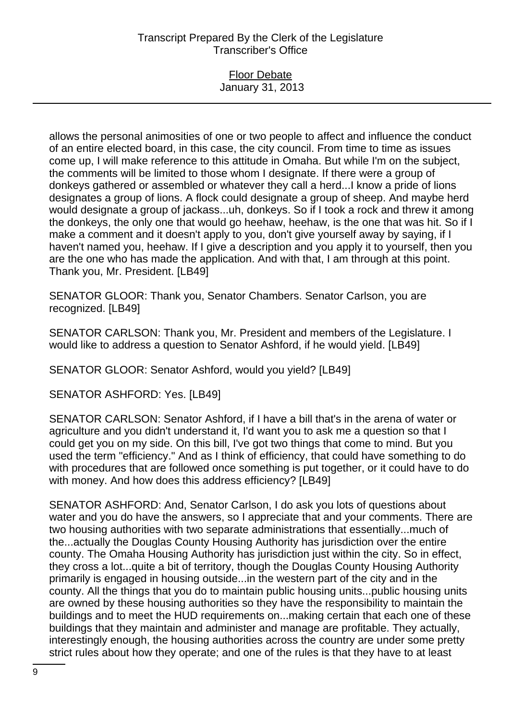## Floor Debate January 31, 2013

allows the personal animosities of one or two people to affect and influence the conduct of an entire elected board, in this case, the city council. From time to time as issues come up, I will make reference to this attitude in Omaha. But while I'm on the subject, the comments will be limited to those whom I designate. If there were a group of donkeys gathered or assembled or whatever they call a herd...I know a pride of lions designates a group of lions. A flock could designate a group of sheep. And maybe herd would designate a group of jackass...uh, donkeys. So if I took a rock and threw it among the donkeys, the only one that would go heehaw, heehaw, is the one that was hit. So if I make a comment and it doesn't apply to you, don't give yourself away by saying, if I haven't named you, heehaw. If I give a description and you apply it to yourself, then you are the one who has made the application. And with that, I am through at this point. Thank you, Mr. President. [LB49]

SENATOR GLOOR: Thank you, Senator Chambers. Senator Carlson, you are recognized. [LB49]

SENATOR CARLSON: Thank you, Mr. President and members of the Legislature. I would like to address a question to Senator Ashford, if he would yield. [LB49]

SENATOR GLOOR: Senator Ashford, would you yield? [LB49]

SENATOR ASHFORD: Yes. [LB49]

SENATOR CARLSON: Senator Ashford, if I have a bill that's in the arena of water or agriculture and you didn't understand it, I'd want you to ask me a question so that I could get you on my side. On this bill, I've got two things that come to mind. But you used the term "efficiency." And as I think of efficiency, that could have something to do with procedures that are followed once something is put together, or it could have to do with money. And how does this address efficiency? [LB49]

SENATOR ASHFORD: And, Senator Carlson, I do ask you lots of questions about water and you do have the answers, so I appreciate that and your comments. There are two housing authorities with two separate administrations that essentially...much of the...actually the Douglas County Housing Authority has jurisdiction over the entire county. The Omaha Housing Authority has jurisdiction just within the city. So in effect, they cross a lot...quite a bit of territory, though the Douglas County Housing Authority primarily is engaged in housing outside...in the western part of the city and in the county. All the things that you do to maintain public housing units...public housing units are owned by these housing authorities so they have the responsibility to maintain the buildings and to meet the HUD requirements on...making certain that each one of these buildings that they maintain and administer and manage are profitable. They actually, interestingly enough, the housing authorities across the country are under some pretty strict rules about how they operate; and one of the rules is that they have to at least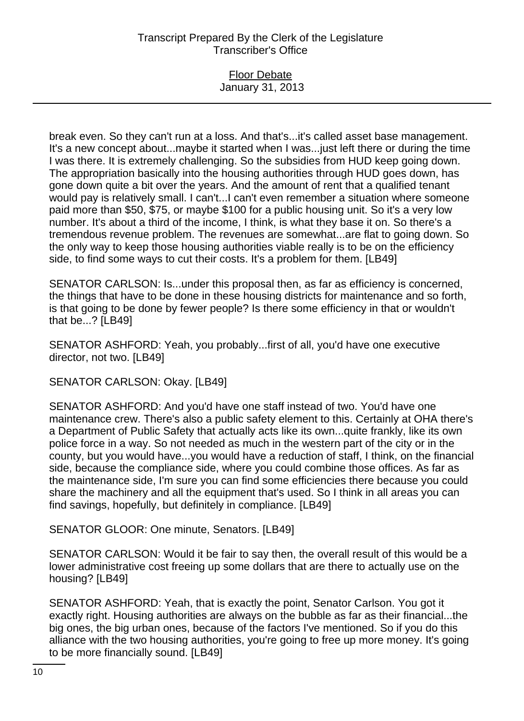## Floor Debate January 31, 2013

break even. So they can't run at a loss. And that's...it's called asset base management. It's a new concept about...maybe it started when I was...just left there or during the time I was there. It is extremely challenging. So the subsidies from HUD keep going down. The appropriation basically into the housing authorities through HUD goes down, has gone down quite a bit over the years. And the amount of rent that a qualified tenant would pay is relatively small. I can't...I can't even remember a situation where someone paid more than \$50, \$75, or maybe \$100 for a public housing unit. So it's a very low number. It's about a third of the income, I think, is what they base it on. So there's a tremendous revenue problem. The revenues are somewhat...are flat to going down. So the only way to keep those housing authorities viable really is to be on the efficiency side, to find some ways to cut their costs. It's a problem for them. [LB49]

SENATOR CARLSON: Is...under this proposal then, as far as efficiency is concerned, the things that have to be done in these housing districts for maintenance and so forth, is that going to be done by fewer people? Is there some efficiency in that or wouldn't that be...? [LB49]

SENATOR ASHFORD: Yeah, you probably...first of all, you'd have one executive director, not two. [LB49]

SENATOR CARLSON: Okay. [LB49]

SENATOR ASHFORD: And you'd have one staff instead of two. You'd have one maintenance crew. There's also a public safety element to this. Certainly at OHA there's a Department of Public Safety that actually acts like its own...quite frankly, like its own police force in a way. So not needed as much in the western part of the city or in the county, but you would have...you would have a reduction of staff, I think, on the financial side, because the compliance side, where you could combine those offices. As far as the maintenance side, I'm sure you can find some efficiencies there because you could share the machinery and all the equipment that's used. So I think in all areas you can find savings, hopefully, but definitely in compliance. [LB49]

SENATOR GLOOR: One minute, Senators. [LB49]

SENATOR CARLSON: Would it be fair to say then, the overall result of this would be a lower administrative cost freeing up some dollars that are there to actually use on the housing? [LB49]

SENATOR ASHFORD: Yeah, that is exactly the point, Senator Carlson. You got it exactly right. Housing authorities are always on the bubble as far as their financial...the big ones, the big urban ones, because of the factors I've mentioned. So if you do this alliance with the two housing authorities, you're going to free up more money. It's going to be more financially sound. [LB49]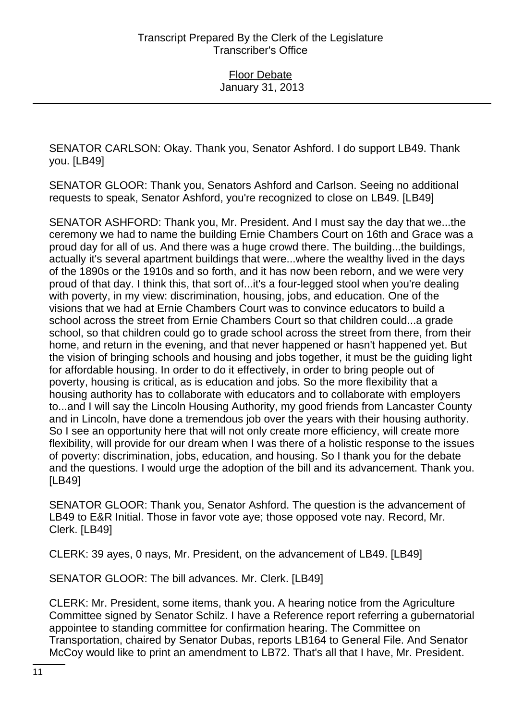SENATOR CARLSON: Okay. Thank you, Senator Ashford. I do support LB49. Thank you. [LB49]

SENATOR GLOOR: Thank you, Senators Ashford and Carlson. Seeing no additional requests to speak, Senator Ashford, you're recognized to close on LB49. [LB49]

SENATOR ASHFORD: Thank you, Mr. President. And I must say the day that we...the ceremony we had to name the building Ernie Chambers Court on 16th and Grace was a proud day for all of us. And there was a huge crowd there. The building...the buildings, actually it's several apartment buildings that were...where the wealthy lived in the days of the 1890s or the 1910s and so forth, and it has now been reborn, and we were very proud of that day. I think this, that sort of...it's a four-legged stool when you're dealing with poverty, in my view: discrimination, housing, jobs, and education. One of the visions that we had at Ernie Chambers Court was to convince educators to build a school across the street from Ernie Chambers Court so that children could...a grade school, so that children could go to grade school across the street from there, from their home, and return in the evening, and that never happened or hasn't happened yet. But the vision of bringing schools and housing and jobs together, it must be the guiding light for affordable housing. In order to do it effectively, in order to bring people out of poverty, housing is critical, as is education and jobs. So the more flexibility that a housing authority has to collaborate with educators and to collaborate with employers to...and I will say the Lincoln Housing Authority, my good friends from Lancaster County and in Lincoln, have done a tremendous job over the years with their housing authority. So I see an opportunity here that will not only create more efficiency, will create more flexibility, will provide for our dream when I was there of a holistic response to the issues of poverty: discrimination, jobs, education, and housing. So I thank you for the debate and the questions. I would urge the adoption of the bill and its advancement. Thank you. [LB49]

SENATOR GLOOR: Thank you, Senator Ashford. The question is the advancement of LB49 to E&R Initial. Those in favor vote aye; those opposed vote nay. Record, Mr. Clerk. [LB49]

CLERK: 39 ayes, 0 nays, Mr. President, on the advancement of LB49. [LB49]

SENATOR GLOOR: The bill advances. Mr. Clerk. [LB49]

CLERK: Mr. President, some items, thank you. A hearing notice from the Agriculture Committee signed by Senator Schilz. I have a Reference report referring a gubernatorial appointee to standing committee for confirmation hearing. The Committee on Transportation, chaired by Senator Dubas, reports LB164 to General File. And Senator McCoy would like to print an amendment to LB72. That's all that I have, Mr. President.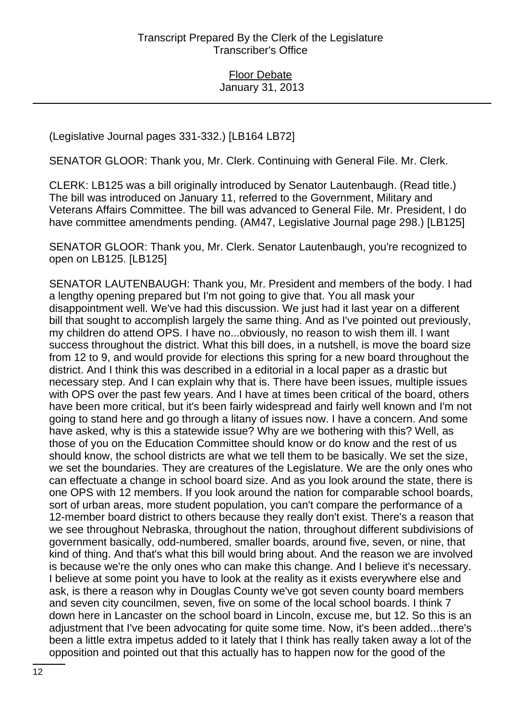(Legislative Journal pages 331-332.) [LB164 LB72]

SENATOR GLOOR: Thank you, Mr. Clerk. Continuing with General File. Mr. Clerk.

CLERK: LB125 was a bill originally introduced by Senator Lautenbaugh. (Read title.) The bill was introduced on January 11, referred to the Government, Military and Veterans Affairs Committee. The bill was advanced to General File. Mr. President, I do have committee amendments pending. (AM47, Legislative Journal page 298.) [LB125]

SENATOR GLOOR: Thank you, Mr. Clerk. Senator Lautenbaugh, you're recognized to open on LB125. [LB125]

SENATOR LAUTENBAUGH: Thank you, Mr. President and members of the body. I had a lengthy opening prepared but I'm not going to give that. You all mask your disappointment well. We've had this discussion. We just had it last year on a different bill that sought to accomplish largely the same thing. And as I've pointed out previously, my children do attend OPS. I have no...obviously, no reason to wish them ill. I want success throughout the district. What this bill does, in a nutshell, is move the board size from 12 to 9, and would provide for elections this spring for a new board throughout the district. And I think this was described in a editorial in a local paper as a drastic but necessary step. And I can explain why that is. There have been issues, multiple issues with OPS over the past few years. And I have at times been critical of the board, others have been more critical, but it's been fairly widespread and fairly well known and I'm not going to stand here and go through a litany of issues now. I have a concern. And some have asked, why is this a statewide issue? Why are we bothering with this? Well, as those of you on the Education Committee should know or do know and the rest of us should know, the school districts are what we tell them to be basically. We set the size, we set the boundaries. They are creatures of the Legislature. We are the only ones who can effectuate a change in school board size. And as you look around the state, there is one OPS with 12 members. If you look around the nation for comparable school boards, sort of urban areas, more student population, you can't compare the performance of a 12-member board district to others because they really don't exist. There's a reason that we see throughout Nebraska, throughout the nation, throughout different subdivisions of government basically, odd-numbered, smaller boards, around five, seven, or nine, that kind of thing. And that's what this bill would bring about. And the reason we are involved is because we're the only ones who can make this change. And I believe it's necessary. I believe at some point you have to look at the reality as it exists everywhere else and ask, is there a reason why in Douglas County we've got seven county board members and seven city councilmen, seven, five on some of the local school boards. I think 7 down here in Lancaster on the school board in Lincoln, excuse me, but 12. So this is an adjustment that I've been advocating for quite some time. Now, it's been added...there's been a little extra impetus added to it lately that I think has really taken away a lot of the opposition and pointed out that this actually has to happen now for the good of the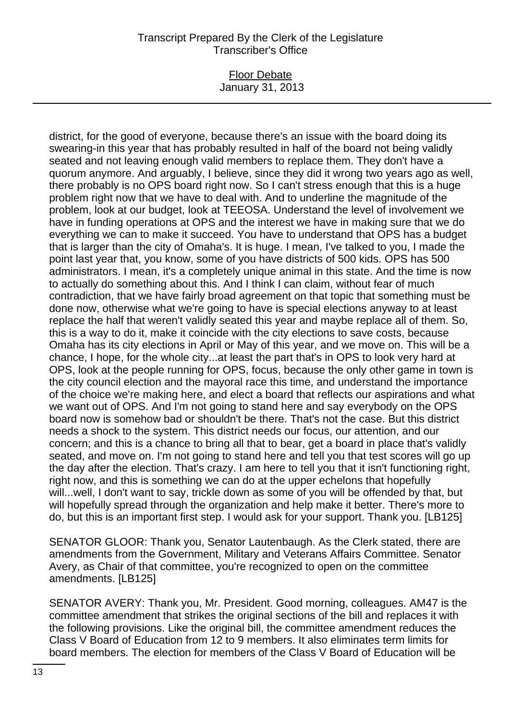### Floor Debate January 31, 2013

district, for the good of everyone, because there's an issue with the board doing its swearing-in this year that has probably resulted in half of the board not being validly seated and not leaving enough valid members to replace them. They don't have a quorum anymore. And arguably, I believe, since they did it wrong two years ago as well, there probably is no OPS board right now. So I can't stress enough that this is a huge problem right now that we have to deal with. And to underline the magnitude of the problem, look at our budget, look at TEEOSA. Understand the level of involvement we have in funding operations at OPS and the interest we have in making sure that we do everything we can to make it succeed. You have to understand that OPS has a budget that is larger than the city of Omaha's. It is huge. I mean, I've talked to you, I made the point last year that, you know, some of you have districts of 500 kids. OPS has 500 administrators. I mean, it's a completely unique animal in this state. And the time is now to actually do something about this. And I think I can claim, without fear of much contradiction, that we have fairly broad agreement on that topic that something must be done now, otherwise what we're going to have is special elections anyway to at least replace the half that weren't validly seated this year and maybe replace all of them. So, this is a way to do it, make it coincide with the city elections to save costs, because Omaha has its city elections in April or May of this year, and we move on. This will be a chance, I hope, for the whole city...at least the part that's in OPS to look very hard at OPS, look at the people running for OPS, focus, because the only other game in town is the city council election and the mayoral race this time, and understand the importance of the choice we're making here, and elect a board that reflects our aspirations and what we want out of OPS. And I'm not going to stand here and say everybody on the OPS board now is somehow bad or shouldn't be there. That's not the case. But this district needs a shock to the system. This district needs our focus, our attention, and our concern; and this is a chance to bring all that to bear, get a board in place that's validly seated, and move on. I'm not going to stand here and tell you that test scores will go up the day after the election. That's crazy. I am here to tell you that it isn't functioning right, right now, and this is something we can do at the upper echelons that hopefully will...well, I don't want to say, trickle down as some of you will be offended by that, but will hopefully spread through the organization and help make it better. There's more to do, but this is an important first step. I would ask for your support. Thank you. [LB125]

SENATOR GLOOR: Thank you, Senator Lautenbaugh. As the Clerk stated, there are amendments from the Government, Military and Veterans Affairs Committee. Senator Avery, as Chair of that committee, you're recognized to open on the committee amendments. [LB125]

SENATOR AVERY: Thank you, Mr. President. Good morning, colleagues. AM47 is the committee amendment that strikes the original sections of the bill and replaces it with the following provisions. Like the original bill, the committee amendment reduces the Class V Board of Education from 12 to 9 members. It also eliminates term limits for board members. The election for members of the Class V Board of Education will be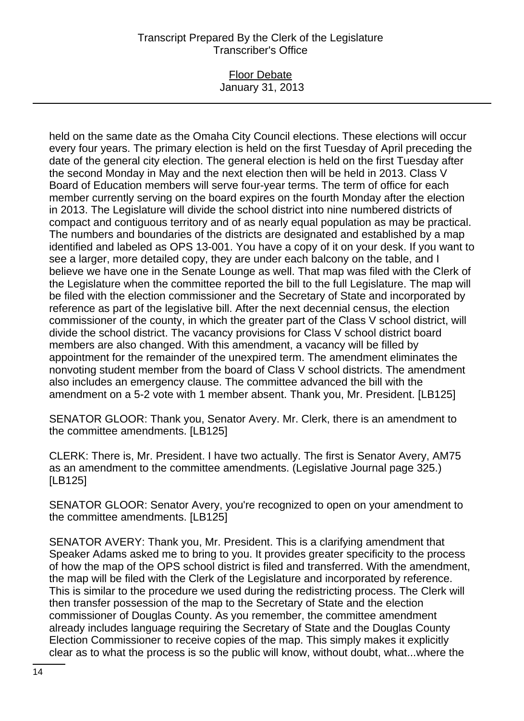#### Floor Debate January 31, 2013

held on the same date as the Omaha City Council elections. These elections will occur every four years. The primary election is held on the first Tuesday of April preceding the date of the general city election. The general election is held on the first Tuesday after the second Monday in May and the next election then will be held in 2013. Class V Board of Education members will serve four-year terms. The term of office for each member currently serving on the board expires on the fourth Monday after the election in 2013. The Legislature will divide the school district into nine numbered districts of compact and contiguous territory and of as nearly equal population as may be practical. The numbers and boundaries of the districts are designated and established by a map identified and labeled as OPS 13-001. You have a copy of it on your desk. If you want to see a larger, more detailed copy, they are under each balcony on the table, and I believe we have one in the Senate Lounge as well. That map was filed with the Clerk of the Legislature when the committee reported the bill to the full Legislature. The map will be filed with the election commissioner and the Secretary of State and incorporated by reference as part of the legislative bill. After the next decennial census, the election commissioner of the county, in which the greater part of the Class V school district, will divide the school district. The vacancy provisions for Class V school district board members are also changed. With this amendment, a vacancy will be filled by appointment for the remainder of the unexpired term. The amendment eliminates the nonvoting student member from the board of Class V school districts. The amendment also includes an emergency clause. The committee advanced the bill with the amendment on a 5-2 vote with 1 member absent. Thank you, Mr. President. [LB125]

SENATOR GLOOR: Thank you, Senator Avery. Mr. Clerk, there is an amendment to the committee amendments. [LB125]

CLERK: There is, Mr. President. I have two actually. The first is Senator Avery, AM75 as an amendment to the committee amendments. (Legislative Journal page 325.) [LB125]

SENATOR GLOOR: Senator Avery, you're recognized to open on your amendment to the committee amendments. [LB125]

SENATOR AVERY: Thank you, Mr. President. This is a clarifying amendment that Speaker Adams asked me to bring to you. It provides greater specificity to the process of how the map of the OPS school district is filed and transferred. With the amendment, the map will be filed with the Clerk of the Legislature and incorporated by reference. This is similar to the procedure we used during the redistricting process. The Clerk will then transfer possession of the map to the Secretary of State and the election commissioner of Douglas County. As you remember, the committee amendment already includes language requiring the Secretary of State and the Douglas County Election Commissioner to receive copies of the map. This simply makes it explicitly clear as to what the process is so the public will know, without doubt, what...where the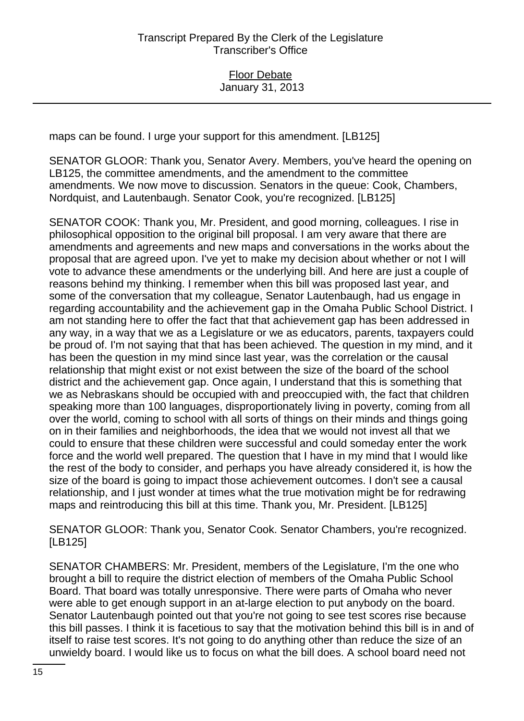maps can be found. I urge your support for this amendment. [LB125]

SENATOR GLOOR: Thank you, Senator Avery. Members, you've heard the opening on LB125, the committee amendments, and the amendment to the committee amendments. We now move to discussion. Senators in the queue: Cook, Chambers, Nordquist, and Lautenbaugh. Senator Cook, you're recognized. [LB125]

SENATOR COOK: Thank you, Mr. President, and good morning, colleagues. I rise in philosophical opposition to the original bill proposal. I am very aware that there are amendments and agreements and new maps and conversations in the works about the proposal that are agreed upon. I've yet to make my decision about whether or not I will vote to advance these amendments or the underlying bill. And here are just a couple of reasons behind my thinking. I remember when this bill was proposed last year, and some of the conversation that my colleague, Senator Lautenbaugh, had us engage in regarding accountability and the achievement gap in the Omaha Public School District. I am not standing here to offer the fact that that achievement gap has been addressed in any way, in a way that we as a Legislature or we as educators, parents, taxpayers could be proud of. I'm not saying that that has been achieved. The question in my mind, and it has been the question in my mind since last year, was the correlation or the causal relationship that might exist or not exist between the size of the board of the school district and the achievement gap. Once again, I understand that this is something that we as Nebraskans should be occupied with and preoccupied with, the fact that children speaking more than 100 languages, disproportionately living in poverty, coming from all over the world, coming to school with all sorts of things on their minds and things going on in their families and neighborhoods, the idea that we would not invest all that we could to ensure that these children were successful and could someday enter the work force and the world well prepared. The question that I have in my mind that I would like the rest of the body to consider, and perhaps you have already considered it, is how the size of the board is going to impact those achievement outcomes. I don't see a causal relationship, and I just wonder at times what the true motivation might be for redrawing maps and reintroducing this bill at this time. Thank you, Mr. President. [LB125]

SENATOR GLOOR: Thank you, Senator Cook. Senator Chambers, you're recognized. [LB125]

SENATOR CHAMBERS: Mr. President, members of the Legislature, I'm the one who brought a bill to require the district election of members of the Omaha Public School Board. That board was totally unresponsive. There were parts of Omaha who never were able to get enough support in an at-large election to put anybody on the board. Senator Lautenbaugh pointed out that you're not going to see test scores rise because this bill passes. I think it is facetious to say that the motivation behind this bill is in and of itself to raise test scores. It's not going to do anything other than reduce the size of an unwieldy board. I would like us to focus on what the bill does. A school board need not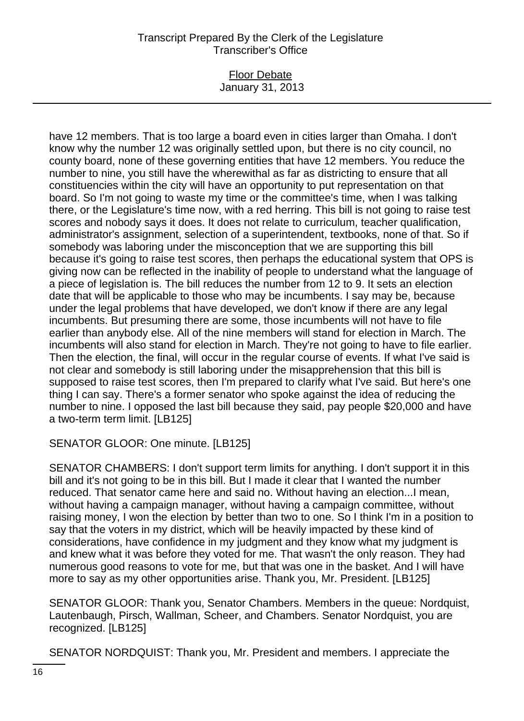#### Floor Debate January 31, 2013

have 12 members. That is too large a board even in cities larger than Omaha. I don't know why the number 12 was originally settled upon, but there is no city council, no county board, none of these governing entities that have 12 members. You reduce the number to nine, you still have the wherewithal as far as districting to ensure that all constituencies within the city will have an opportunity to put representation on that board. So I'm not going to waste my time or the committee's time, when I was talking there, or the Legislature's time now, with a red herring. This bill is not going to raise test scores and nobody says it does. It does not relate to curriculum, teacher qualification, administrator's assignment, selection of a superintendent, textbooks, none of that. So if somebody was laboring under the misconception that we are supporting this bill because it's going to raise test scores, then perhaps the educational system that OPS is giving now can be reflected in the inability of people to understand what the language of a piece of legislation is. The bill reduces the number from 12 to 9. It sets an election date that will be applicable to those who may be incumbents. I say may be, because under the legal problems that have developed, we don't know if there are any legal incumbents. But presuming there are some, those incumbents will not have to file earlier than anybody else. All of the nine members will stand for election in March. The incumbents will also stand for election in March. They're not going to have to file earlier. Then the election, the final, will occur in the regular course of events. If what I've said is not clear and somebody is still laboring under the misapprehension that this bill is supposed to raise test scores, then I'm prepared to clarify what I've said. But here's one thing I can say. There's a former senator who spoke against the idea of reducing the number to nine. I opposed the last bill because they said, pay people \$20,000 and have a two-term term limit. [LB125]

SENATOR GLOOR: One minute. [LB125]

SENATOR CHAMBERS: I don't support term limits for anything. I don't support it in this bill and it's not going to be in this bill. But I made it clear that I wanted the number reduced. That senator came here and said no. Without having an election...I mean, without having a campaign manager, without having a campaign committee, without raising money, I won the election by better than two to one. So I think I'm in a position to say that the voters in my district, which will be heavily impacted by these kind of considerations, have confidence in my judgment and they know what my judgment is and knew what it was before they voted for me. That wasn't the only reason. They had numerous good reasons to vote for me, but that was one in the basket. And I will have more to say as my other opportunities arise. Thank you, Mr. President. [LB125]

SENATOR GLOOR: Thank you, Senator Chambers. Members in the queue: Nordquist, Lautenbaugh, Pirsch, Wallman, Scheer, and Chambers. Senator Nordquist, you are recognized. [LB125]

SENATOR NORDQUIST: Thank you, Mr. President and members. I appreciate the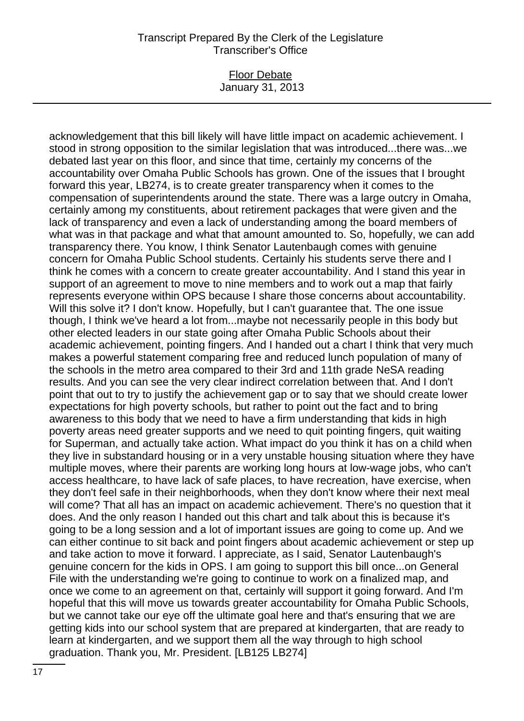## Floor Debate January 31, 2013

acknowledgement that this bill likely will have little impact on academic achievement. I stood in strong opposition to the similar legislation that was introduced...there was...we debated last year on this floor, and since that time, certainly my concerns of the accountability over Omaha Public Schools has grown. One of the issues that I brought forward this year, LB274, is to create greater transparency when it comes to the compensation of superintendents around the state. There was a large outcry in Omaha, certainly among my constituents, about retirement packages that were given and the lack of transparency and even a lack of understanding among the board members of what was in that package and what that amount amounted to. So, hopefully, we can add transparency there. You know, I think Senator Lautenbaugh comes with genuine concern for Omaha Public School students. Certainly his students serve there and I think he comes with a concern to create greater accountability. And I stand this year in support of an agreement to move to nine members and to work out a map that fairly represents everyone within OPS because I share those concerns about accountability. Will this solve it? I don't know. Hopefully, but I can't quarantee that. The one issue though, I think we've heard a lot from...maybe not necessarily people in this body but other elected leaders in our state going after Omaha Public Schools about their academic achievement, pointing fingers. And I handed out a chart I think that very much makes a powerful statement comparing free and reduced lunch population of many of the schools in the metro area compared to their 3rd and 11th grade NeSA reading results. And you can see the very clear indirect correlation between that. And I don't point that out to try to justify the achievement gap or to say that we should create lower expectations for high poverty schools, but rather to point out the fact and to bring awareness to this body that we need to have a firm understanding that kids in high poverty areas need greater supports and we need to quit pointing fingers, quit waiting for Superman, and actually take action. What impact do you think it has on a child when they live in substandard housing or in a very unstable housing situation where they have multiple moves, where their parents are working long hours at low-wage jobs, who can't access healthcare, to have lack of safe places, to have recreation, have exercise, when they don't feel safe in their neighborhoods, when they don't know where their next meal will come? That all has an impact on academic achievement. There's no question that it does. And the only reason I handed out this chart and talk about this is because it's going to be a long session and a lot of important issues are going to come up. And we can either continue to sit back and point fingers about academic achievement or step up and take action to move it forward. I appreciate, as I said, Senator Lautenbaugh's genuine concern for the kids in OPS. I am going to support this bill once...on General File with the understanding we're going to continue to work on a finalized map, and once we come to an agreement on that, certainly will support it going forward. And I'm hopeful that this will move us towards greater accountability for Omaha Public Schools, but we cannot take our eye off the ultimate goal here and that's ensuring that we are getting kids into our school system that are prepared at kindergarten, that are ready to learn at kindergarten, and we support them all the way through to high school graduation. Thank you, Mr. President. [LB125 LB274]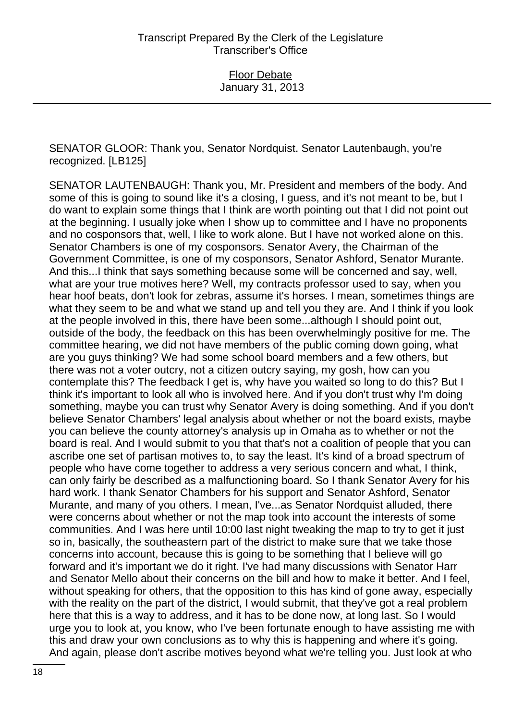SENATOR GLOOR: Thank you, Senator Nordquist. Senator Lautenbaugh, you're recognized. [LB125]

SENATOR LAUTENBAUGH: Thank you, Mr. President and members of the body. And some of this is going to sound like it's a closing, I guess, and it's not meant to be, but I do want to explain some things that I think are worth pointing out that I did not point out at the beginning. I usually joke when I show up to committee and I have no proponents and no cosponsors that, well, I like to work alone. But I have not worked alone on this. Senator Chambers is one of my cosponsors. Senator Avery, the Chairman of the Government Committee, is one of my cosponsors, Senator Ashford, Senator Murante. And this...I think that says something because some will be concerned and say, well, what are your true motives here? Well, my contracts professor used to say, when you hear hoof beats, don't look for zebras, assume it's horses. I mean, sometimes things are what they seem to be and what we stand up and tell you they are. And I think if you look at the people involved in this, there have been some...although I should point out, outside of the body, the feedback on this has been overwhelmingly positive for me. The committee hearing, we did not have members of the public coming down going, what are you guys thinking? We had some school board members and a few others, but there was not a voter outcry, not a citizen outcry saying, my gosh, how can you contemplate this? The feedback I get is, why have you waited so long to do this? But I think it's important to look all who is involved here. And if you don't trust why I'm doing something, maybe you can trust why Senator Avery is doing something. And if you don't believe Senator Chambers' legal analysis about whether or not the board exists, maybe you can believe the county attorney's analysis up in Omaha as to whether or not the board is real. And I would submit to you that that's not a coalition of people that you can ascribe one set of partisan motives to, to say the least. It's kind of a broad spectrum of people who have come together to address a very serious concern and what, I think, can only fairly be described as a malfunctioning board. So I thank Senator Avery for his hard work. I thank Senator Chambers for his support and Senator Ashford, Senator Murante, and many of you others. I mean, I've...as Senator Nordquist alluded, there were concerns about whether or not the map took into account the interests of some communities. And I was here until 10:00 last night tweaking the map to try to get it just so in, basically, the southeastern part of the district to make sure that we take those concerns into account, because this is going to be something that I believe will go forward and it's important we do it right. I've had many discussions with Senator Harr and Senator Mello about their concerns on the bill and how to make it better. And I feel, without speaking for others, that the opposition to this has kind of gone away, especially with the reality on the part of the district, I would submit, that they've got a real problem here that this is a way to address, and it has to be done now, at long last. So I would urge you to look at, you know, who I've been fortunate enough to have assisting me with this and draw your own conclusions as to why this is happening and where it's going. And again, please don't ascribe motives beyond what we're telling you. Just look at who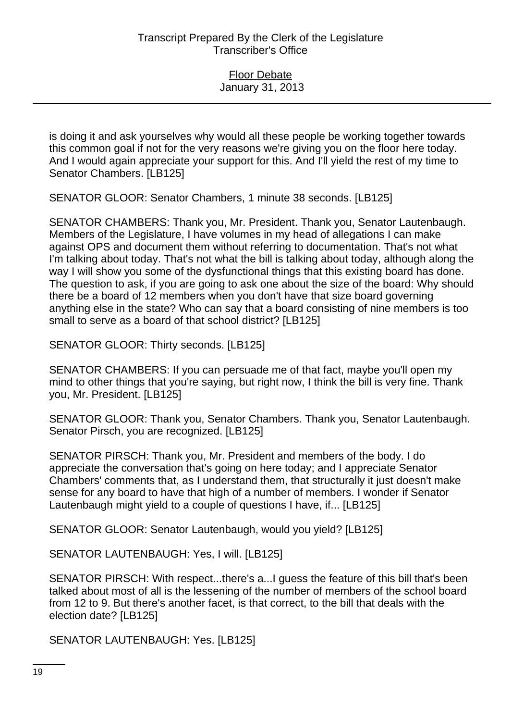is doing it and ask yourselves why would all these people be working together towards this common goal if not for the very reasons we're giving you on the floor here today. And I would again appreciate your support for this. And I'll yield the rest of my time to Senator Chambers. [LB125]

SENATOR GLOOR: Senator Chambers, 1 minute 38 seconds. [LB125]

SENATOR CHAMBERS: Thank you, Mr. President. Thank you, Senator Lautenbaugh. Members of the Legislature, I have volumes in my head of allegations I can make against OPS and document them without referring to documentation. That's not what I'm talking about today. That's not what the bill is talking about today, although along the way I will show you some of the dysfunctional things that this existing board has done. The question to ask, if you are going to ask one about the size of the board: Why should there be a board of 12 members when you don't have that size board governing anything else in the state? Who can say that a board consisting of nine members is too small to serve as a board of that school district? [LB125]

SENATOR GLOOR: Thirty seconds. [LB125]

SENATOR CHAMBERS: If you can persuade me of that fact, maybe you'll open my mind to other things that you're saying, but right now, I think the bill is very fine. Thank you, Mr. President. [LB125]

SENATOR GLOOR: Thank you, Senator Chambers. Thank you, Senator Lautenbaugh. Senator Pirsch, you are recognized. [LB125]

SENATOR PIRSCH: Thank you, Mr. President and members of the body. I do appreciate the conversation that's going on here today; and I appreciate Senator Chambers' comments that, as I understand them, that structurally it just doesn't make sense for any board to have that high of a number of members. I wonder if Senator Lautenbaugh might yield to a couple of questions I have, if... [LB125]

SENATOR GLOOR: Senator Lautenbaugh, would you yield? [LB125]

SENATOR LAUTENBAUGH: Yes, I will. [LB125]

SENATOR PIRSCH: With respect...there's a...I guess the feature of this bill that's been talked about most of all is the lessening of the number of members of the school board from 12 to 9. But there's another facet, is that correct, to the bill that deals with the election date? [LB125]

SENATOR LAUTENBAUGH: Yes. [LB125]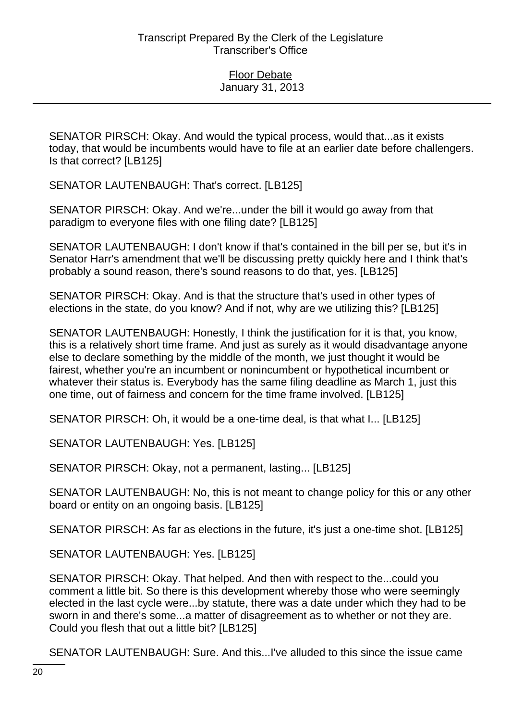SENATOR PIRSCH: Okay. And would the typical process, would that...as it exists today, that would be incumbents would have to file at an earlier date before challengers. Is that correct? [LB125]

SENATOR LAUTENBAUGH: That's correct. [LB125]

SENATOR PIRSCH: Okay. And we're...under the bill it would go away from that paradigm to everyone files with one filing date? [LB125]

SENATOR LAUTENBAUGH: I don't know if that's contained in the bill per se, but it's in Senator Harr's amendment that we'll be discussing pretty quickly here and I think that's probably a sound reason, there's sound reasons to do that, yes. [LB125]

SENATOR PIRSCH: Okay. And is that the structure that's used in other types of elections in the state, do you know? And if not, why are we utilizing this? [LB125]

SENATOR LAUTENBAUGH: Honestly, I think the justification for it is that, you know, this is a relatively short time frame. And just as surely as it would disadvantage anyone else to declare something by the middle of the month, we just thought it would be fairest, whether you're an incumbent or nonincumbent or hypothetical incumbent or whatever their status is. Everybody has the same filing deadline as March 1, just this one time, out of fairness and concern for the time frame involved. [LB125]

SENATOR PIRSCH: Oh, it would be a one-time deal, is that what I... [LB125]

SENATOR LAUTENBAUGH: Yes. [LB125]

SENATOR PIRSCH: Okay, not a permanent, lasting... [LB125]

SENATOR LAUTENBAUGH: No, this is not meant to change policy for this or any other board or entity on an ongoing basis. [LB125]

SENATOR PIRSCH: As far as elections in the future, it's just a one-time shot. [LB125]

SENATOR LAUTENBAUGH: Yes. [LB125]

SENATOR PIRSCH: Okay. That helped. And then with respect to the...could you comment a little bit. So there is this development whereby those who were seemingly elected in the last cycle were...by statute, there was a date under which they had to be sworn in and there's some...a matter of disagreement as to whether or not they are. Could you flesh that out a little bit? [LB125]

SENATOR LAUTENBAUGH: Sure. And this...I've alluded to this since the issue came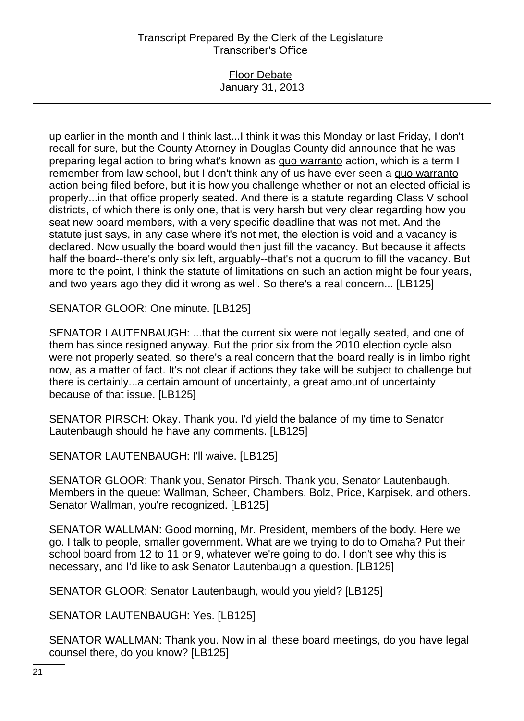### Floor Debate January 31, 2013

up earlier in the month and I think last...I think it was this Monday or last Friday, I don't recall for sure, but the County Attorney in Douglas County did announce that he was preparing legal action to bring what's known as quo warranto action, which is a term I remember from law school, but I don't think any of us have ever seen a quo warranto action being filed before, but it is how you challenge whether or not an elected official is properly...in that office properly seated. And there is a statute regarding Class V school districts, of which there is only one, that is very harsh but very clear regarding how you seat new board members, with a very specific deadline that was not met. And the statute just says, in any case where it's not met, the election is void and a vacancy is declared. Now usually the board would then just fill the vacancy. But because it affects half the board--there's only six left, arguably--that's not a quorum to fill the vacancy. But more to the point, I think the statute of limitations on such an action might be four years, and two years ago they did it wrong as well. So there's a real concern... [LB125]

SENATOR GLOOR: One minute. [LB125]

SENATOR LAUTENBAUGH: ...that the current six were not legally seated, and one of them has since resigned anyway. But the prior six from the 2010 election cycle also were not properly seated, so there's a real concern that the board really is in limbo right now, as a matter of fact. It's not clear if actions they take will be subject to challenge but there is certainly...a certain amount of uncertainty, a great amount of uncertainty because of that issue. [LB125]

SENATOR PIRSCH: Okay. Thank you. I'd yield the balance of my time to Senator Lautenbaugh should he have any comments. [LB125]

SENATOR LAUTENBAUGH: I'll waive. [LB125]

SENATOR GLOOR: Thank you, Senator Pirsch. Thank you, Senator Lautenbaugh. Members in the queue: Wallman, Scheer, Chambers, Bolz, Price, Karpisek, and others. Senator Wallman, you're recognized. [LB125]

SENATOR WALLMAN: Good morning, Mr. President, members of the body. Here we go. I talk to people, smaller government. What are we trying to do to Omaha? Put their school board from 12 to 11 or 9, whatever we're going to do. I don't see why this is necessary, and I'd like to ask Senator Lautenbaugh a question. [LB125]

SENATOR GLOOR: Senator Lautenbaugh, would you yield? [LB125]

SENATOR LAUTENBAUGH: Yes. [LB125]

SENATOR WALLMAN: Thank you. Now in all these board meetings, do you have legal counsel there, do you know? [LB125]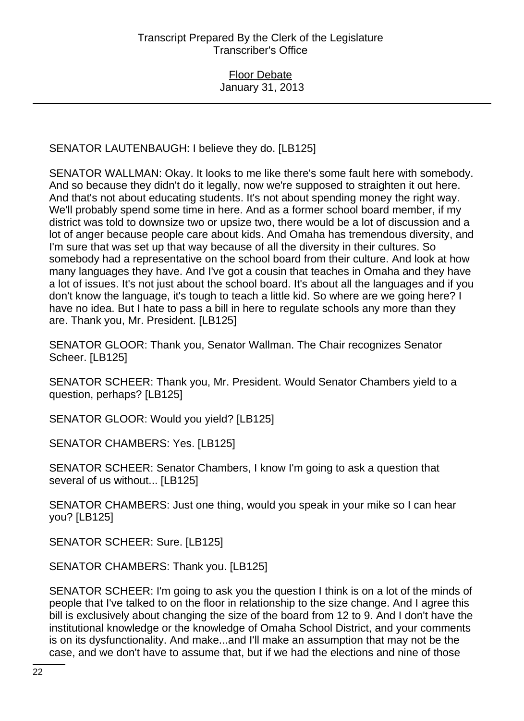SENATOR LAUTENBAUGH: I believe they do. [LB125]

SENATOR WALLMAN: Okay. It looks to me like there's some fault here with somebody. And so because they didn't do it legally, now we're supposed to straighten it out here. And that's not about educating students. It's not about spending money the right way. We'll probably spend some time in here. And as a former school board member, if my district was told to downsize two or upsize two, there would be a lot of discussion and a lot of anger because people care about kids. And Omaha has tremendous diversity, and I'm sure that was set up that way because of all the diversity in their cultures. So somebody had a representative on the school board from their culture. And look at how many languages they have. And I've got a cousin that teaches in Omaha and they have a lot of issues. It's not just about the school board. It's about all the languages and if you don't know the language, it's tough to teach a little kid. So where are we going here? I have no idea. But I hate to pass a bill in here to regulate schools any more than they are. Thank you, Mr. President. [LB125]

SENATOR GLOOR: Thank you, Senator Wallman. The Chair recognizes Senator Scheer. [LB125]

SENATOR SCHEER: Thank you, Mr. President. Would Senator Chambers yield to a question, perhaps? [LB125]

SENATOR GLOOR: Would you yield? [LB125]

SENATOR CHAMBERS: Yes. [LB125]

SENATOR SCHEER: Senator Chambers, I know I'm going to ask a question that several of us without... [LB125]

SENATOR CHAMBERS: Just one thing, would you speak in your mike so I can hear you? [LB125]

SENATOR SCHEER: Sure. [LB125]

SENATOR CHAMBERS: Thank you. [LB125]

SENATOR SCHEER: I'm going to ask you the question I think is on a lot of the minds of people that I've talked to on the floor in relationship to the size change. And I agree this bill is exclusively about changing the size of the board from 12 to 9. And I don't have the institutional knowledge or the knowledge of Omaha School District, and your comments is on its dysfunctionality. And make...and I'll make an assumption that may not be the case, and we don't have to assume that, but if we had the elections and nine of those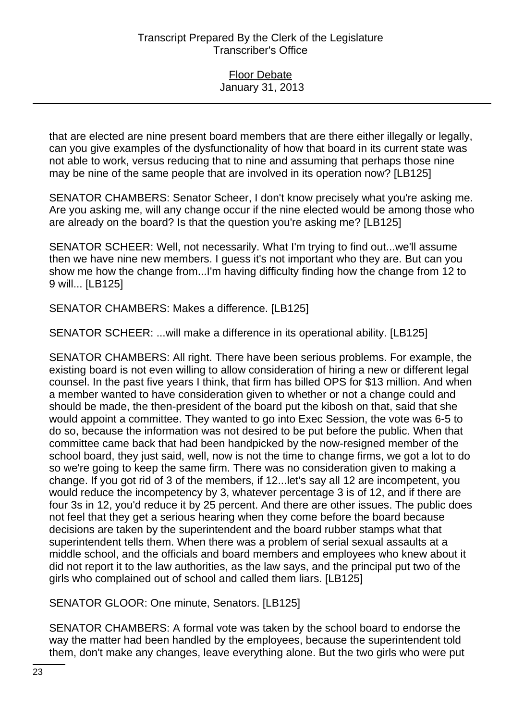that are elected are nine present board members that are there either illegally or legally, can you give examples of the dysfunctionality of how that board in its current state was not able to work, versus reducing that to nine and assuming that perhaps those nine may be nine of the same people that are involved in its operation now? [LB125]

SENATOR CHAMBERS: Senator Scheer, I don't know precisely what you're asking me. Are you asking me, will any change occur if the nine elected would be among those who are already on the board? Is that the question you're asking me? [LB125]

SENATOR SCHEER: Well, not necessarily. What I'm trying to find out...we'll assume then we have nine new members. I guess it's not important who they are. But can you show me how the change from...I'm having difficulty finding how the change from 12 to 9 will... [LB125]

SENATOR CHAMBERS: Makes a difference. [LB125]

SENATOR SCHEER: ...will make a difference in its operational ability. [LB125]

SENATOR CHAMBERS: All right. There have been serious problems. For example, the existing board is not even willing to allow consideration of hiring a new or different legal counsel. In the past five years I think, that firm has billed OPS for \$13 million. And when a member wanted to have consideration given to whether or not a change could and should be made, the then-president of the board put the kibosh on that, said that she would appoint a committee. They wanted to go into Exec Session, the vote was 6-5 to do so, because the information was not desired to be put before the public. When that committee came back that had been handpicked by the now-resigned member of the school board, they just said, well, now is not the time to change firms, we got a lot to do so we're going to keep the same firm. There was no consideration given to making a change. If you got rid of 3 of the members, if 12...let's say all 12 are incompetent, you would reduce the incompetency by 3, whatever percentage 3 is of 12, and if there are four 3s in 12, you'd reduce it by 25 percent. And there are other issues. The public does not feel that they get a serious hearing when they come before the board because decisions are taken by the superintendent and the board rubber stamps what that superintendent tells them. When there was a problem of serial sexual assaults at a middle school, and the officials and board members and employees who knew about it did not report it to the law authorities, as the law says, and the principal put two of the girls who complained out of school and called them liars. [LB125]

SENATOR GLOOR: One minute, Senators. [LB125]

SENATOR CHAMBERS: A formal vote was taken by the school board to endorse the way the matter had been handled by the employees, because the superintendent told them, don't make any changes, leave everything alone. But the two girls who were put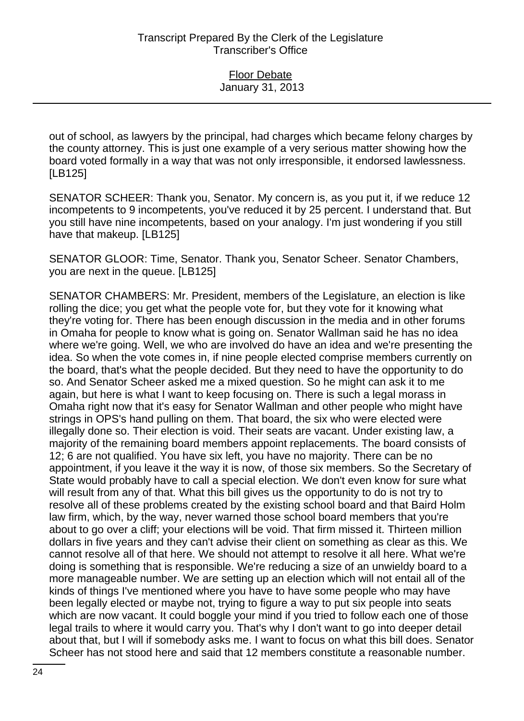out of school, as lawyers by the principal, had charges which became felony charges by the county attorney. This is just one example of a very serious matter showing how the board voted formally in a way that was not only irresponsible, it endorsed lawlessness. [LB125]

SENATOR SCHEER: Thank you, Senator. My concern is, as you put it, if we reduce 12 incompetents to 9 incompetents, you've reduced it by 25 percent. I understand that. But you still have nine incompetents, based on your analogy. I'm just wondering if you still have that makeup. [LB125]

SENATOR GLOOR: Time, Senator. Thank you, Senator Scheer. Senator Chambers, you are next in the queue. [LB125]

SENATOR CHAMBERS: Mr. President, members of the Legislature, an election is like rolling the dice; you get what the people vote for, but they vote for it knowing what they're voting for. There has been enough discussion in the media and in other forums in Omaha for people to know what is going on. Senator Wallman said he has no idea where we're going. Well, we who are involved do have an idea and we're presenting the idea. So when the vote comes in, if nine people elected comprise members currently on the board, that's what the people decided. But they need to have the opportunity to do so. And Senator Scheer asked me a mixed question. So he might can ask it to me again, but here is what I want to keep focusing on. There is such a legal morass in Omaha right now that it's easy for Senator Wallman and other people who might have strings in OPS's hand pulling on them. That board, the six who were elected were illegally done so. Their election is void. Their seats are vacant. Under existing law, a majority of the remaining board members appoint replacements. The board consists of 12; 6 are not qualified. You have six left, you have no majority. There can be no appointment, if you leave it the way it is now, of those six members. So the Secretary of State would probably have to call a special election. We don't even know for sure what will result from any of that. What this bill gives us the opportunity to do is not try to resolve all of these problems created by the existing school board and that Baird Holm law firm, which, by the way, never warned those school board members that you're about to go over a cliff; your elections will be void. That firm missed it. Thirteen million dollars in five years and they can't advise their client on something as clear as this. We cannot resolve all of that here. We should not attempt to resolve it all here. What we're doing is something that is responsible. We're reducing a size of an unwieldy board to a more manageable number. We are setting up an election which will not entail all of the kinds of things I've mentioned where you have to have some people who may have been legally elected or maybe not, trying to figure a way to put six people into seats which are now vacant. It could boggle your mind if you tried to follow each one of those legal trails to where it would carry you. That's why I don't want to go into deeper detail about that, but I will if somebody asks me. I want to focus on what this bill does. Senator Scheer has not stood here and said that 12 members constitute a reasonable number.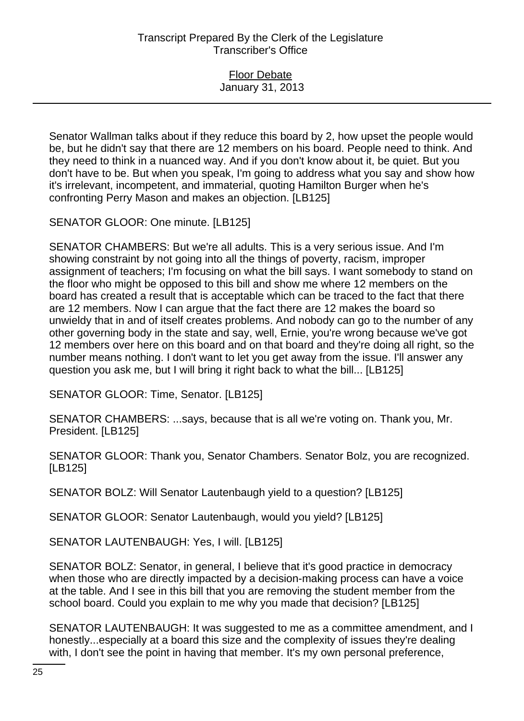Senator Wallman talks about if they reduce this board by 2, how upset the people would be, but he didn't say that there are 12 members on his board. People need to think. And they need to think in a nuanced way. And if you don't know about it, be quiet. But you don't have to be. But when you speak, I'm going to address what you say and show how it's irrelevant, incompetent, and immaterial, quoting Hamilton Burger when he's confronting Perry Mason and makes an objection. [LB125]

SENATOR GLOOR: One minute. [LB125]

SENATOR CHAMBERS: But we're all adults. This is a very serious issue. And I'm showing constraint by not going into all the things of poverty, racism, improper assignment of teachers; I'm focusing on what the bill says. I want somebody to stand on the floor who might be opposed to this bill and show me where 12 members on the board has created a result that is acceptable which can be traced to the fact that there are 12 members. Now I can argue that the fact there are 12 makes the board so unwieldy that in and of itself creates problems. And nobody can go to the number of any other governing body in the state and say, well, Ernie, you're wrong because we've got 12 members over here on this board and on that board and they're doing all right, so the number means nothing. I don't want to let you get away from the issue. I'll answer any question you ask me, but I will bring it right back to what the bill... [LB125]

SENATOR GLOOR: Time, Senator. [LB125]

SENATOR CHAMBERS: ...says, because that is all we're voting on. Thank you, Mr. President. [LB125]

SENATOR GLOOR: Thank you, Senator Chambers. Senator Bolz, you are recognized. [LB125]

SENATOR BOLZ: Will Senator Lautenbaugh yield to a question? [LB125]

SENATOR GLOOR: Senator Lautenbaugh, would you yield? [LB125]

SENATOR LAUTENBAUGH: Yes, I will. [LB125]

SENATOR BOLZ: Senator, in general, I believe that it's good practice in democracy when those who are directly impacted by a decision-making process can have a voice at the table. And I see in this bill that you are removing the student member from the school board. Could you explain to me why you made that decision? [LB125]

SENATOR LAUTENBAUGH: It was suggested to me as a committee amendment, and I honestly...especially at a board this size and the complexity of issues they're dealing with, I don't see the point in having that member. It's my own personal preference,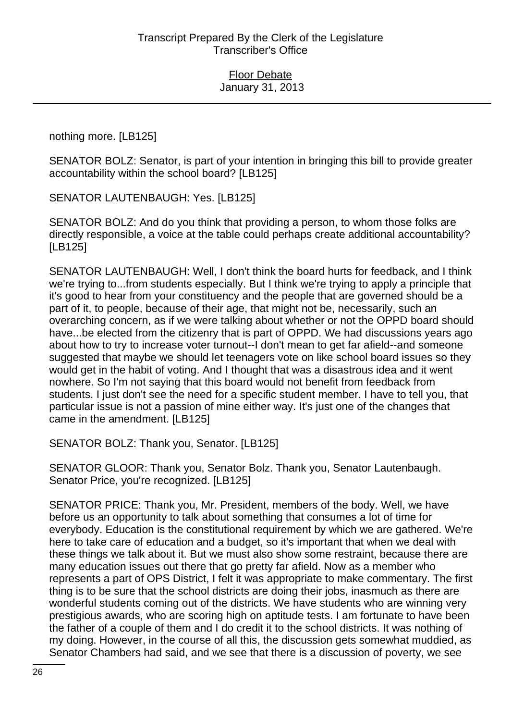nothing more. [LB125]

SENATOR BOLZ: Senator, is part of your intention in bringing this bill to provide greater accountability within the school board? [LB125]

SENATOR LAUTENBAUGH: Yes. [LB125]

SENATOR BOLZ: And do you think that providing a person, to whom those folks are directly responsible, a voice at the table could perhaps create additional accountability? [LB125]

SENATOR LAUTENBAUGH: Well, I don't think the board hurts for feedback, and I think we're trying to...from students especially. But I think we're trying to apply a principle that it's good to hear from your constituency and the people that are governed should be a part of it, to people, because of their age, that might not be, necessarily, such an overarching concern, as if we were talking about whether or not the OPPD board should have...be elected from the citizenry that is part of OPPD. We had discussions years ago about how to try to increase voter turnout--I don't mean to get far afield--and someone suggested that maybe we should let teenagers vote on like school board issues so they would get in the habit of voting. And I thought that was a disastrous idea and it went nowhere. So I'm not saying that this board would not benefit from feedback from students. I just don't see the need for a specific student member. I have to tell you, that particular issue is not a passion of mine either way. It's just one of the changes that came in the amendment. [LB125]

SENATOR BOLZ: Thank you, Senator. [LB125]

SENATOR GLOOR: Thank you, Senator Bolz. Thank you, Senator Lautenbaugh. Senator Price, you're recognized. [LB125]

SENATOR PRICE: Thank you, Mr. President, members of the body. Well, we have before us an opportunity to talk about something that consumes a lot of time for everybody. Education is the constitutional requirement by which we are gathered. We're here to take care of education and a budget, so it's important that when we deal with these things we talk about it. But we must also show some restraint, because there are many education issues out there that go pretty far afield. Now as a member who represents a part of OPS District, I felt it was appropriate to make commentary. The first thing is to be sure that the school districts are doing their jobs, inasmuch as there are wonderful students coming out of the districts. We have students who are winning very prestigious awards, who are scoring high on aptitude tests. I am fortunate to have been the father of a couple of them and I do credit it to the school districts. It was nothing of my doing. However, in the course of all this, the discussion gets somewhat muddied, as Senator Chambers had said, and we see that there is a discussion of poverty, we see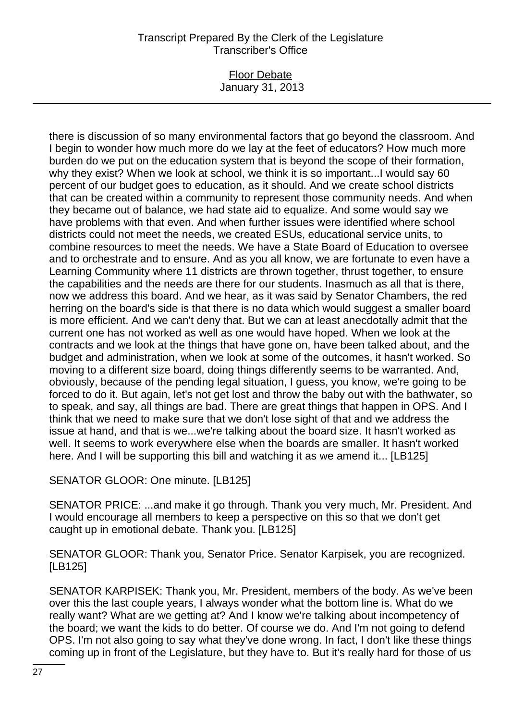### Floor Debate January 31, 2013

there is discussion of so many environmental factors that go beyond the classroom. And I begin to wonder how much more do we lay at the feet of educators? How much more burden do we put on the education system that is beyond the scope of their formation, why they exist? When we look at school, we think it is so important...I would say 60 percent of our budget goes to education, as it should. And we create school districts that can be created within a community to represent those community needs. And when they became out of balance, we had state aid to equalize. And some would say we have problems with that even. And when further issues were identified where school districts could not meet the needs, we created ESUs, educational service units, to combine resources to meet the needs. We have a State Board of Education to oversee and to orchestrate and to ensure. And as you all know, we are fortunate to even have a Learning Community where 11 districts are thrown together, thrust together, to ensure the capabilities and the needs are there for our students. Inasmuch as all that is there, now we address this board. And we hear, as it was said by Senator Chambers, the red herring on the board's side is that there is no data which would suggest a smaller board is more efficient. And we can't deny that. But we can at least anecdotally admit that the current one has not worked as well as one would have hoped. When we look at the contracts and we look at the things that have gone on, have been talked about, and the budget and administration, when we look at some of the outcomes, it hasn't worked. So moving to a different size board, doing things differently seems to be warranted. And, obviously, because of the pending legal situation, I guess, you know, we're going to be forced to do it. But again, let's not get lost and throw the baby out with the bathwater, so to speak, and say, all things are bad. There are great things that happen in OPS. And I think that we need to make sure that we don't lose sight of that and we address the issue at hand, and that is we...we're talking about the board size. It hasn't worked as well. It seems to work everywhere else when the boards are smaller. It hasn't worked here. And I will be supporting this bill and watching it as we amend it... [LB125]

SENATOR GLOOR: One minute. [LB125]

SENATOR PRICE: ...and make it go through. Thank you very much, Mr. President. And I would encourage all members to keep a perspective on this so that we don't get caught up in emotional debate. Thank you. [LB125]

SENATOR GLOOR: Thank you, Senator Price. Senator Karpisek, you are recognized. [LB125]

SENATOR KARPISEK: Thank you, Mr. President, members of the body. As we've been over this the last couple years, I always wonder what the bottom line is. What do we really want? What are we getting at? And I know we're talking about incompetency of the board; we want the kids to do better. Of course we do. And I'm not going to defend OPS. I'm not also going to say what they've done wrong. In fact, I don't like these things coming up in front of the Legislature, but they have to. But it's really hard for those of us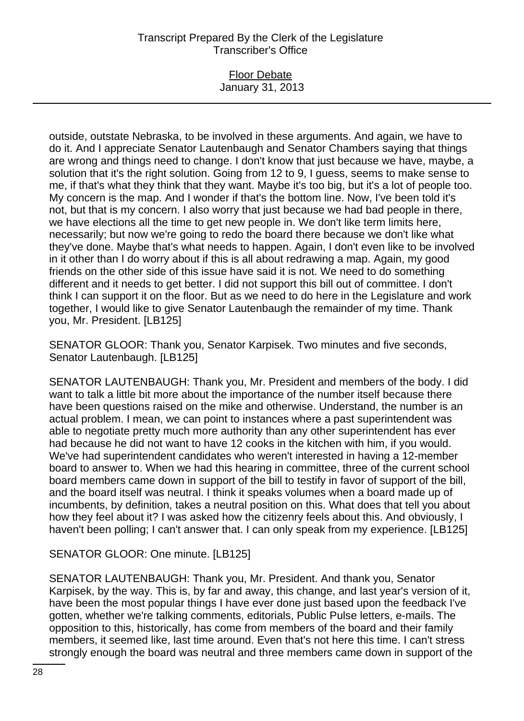### Floor Debate January 31, 2013

outside, outstate Nebraska, to be involved in these arguments. And again, we have to do it. And I appreciate Senator Lautenbaugh and Senator Chambers saying that things are wrong and things need to change. I don't know that just because we have, maybe, a solution that it's the right solution. Going from 12 to 9, I guess, seems to make sense to me, if that's what they think that they want. Maybe it's too big, but it's a lot of people too. My concern is the map. And I wonder if that's the bottom line. Now, I've been told it's not, but that is my concern. I also worry that just because we had bad people in there, we have elections all the time to get new people in. We don't like term limits here, necessarily; but now we're going to redo the board there because we don't like what they've done. Maybe that's what needs to happen. Again, I don't even like to be involved in it other than I do worry about if this is all about redrawing a map. Again, my good friends on the other side of this issue have said it is not. We need to do something different and it needs to get better. I did not support this bill out of committee. I don't think I can support it on the floor. But as we need to do here in the Legislature and work together, I would like to give Senator Lautenbaugh the remainder of my time. Thank you, Mr. President. [LB125]

SENATOR GLOOR: Thank you, Senator Karpisek. Two minutes and five seconds, Senator Lautenbaugh. [LB125]

SENATOR LAUTENBAUGH: Thank you, Mr. President and members of the body. I did want to talk a little bit more about the importance of the number itself because there have been questions raised on the mike and otherwise. Understand, the number is an actual problem. I mean, we can point to instances where a past superintendent was able to negotiate pretty much more authority than any other superintendent has ever had because he did not want to have 12 cooks in the kitchen with him, if you would. We've had superintendent candidates who weren't interested in having a 12-member board to answer to. When we had this hearing in committee, three of the current school board members came down in support of the bill to testify in favor of support of the bill, and the board itself was neutral. I think it speaks volumes when a board made up of incumbents, by definition, takes a neutral position on this. What does that tell you about how they feel about it? I was asked how the citizenry feels about this. And obviously, I haven't been polling; I can't answer that. I can only speak from my experience. [LB125]

## SENATOR GLOOR: One minute. [LB125]

SENATOR LAUTENBAUGH: Thank you, Mr. President. And thank you, Senator Karpisek, by the way. This is, by far and away, this change, and last year's version of it, have been the most popular things I have ever done just based upon the feedback I've gotten, whether we're talking comments, editorials, Public Pulse letters, e-mails. The opposition to this, historically, has come from members of the board and their family members, it seemed like, last time around. Even that's not here this time. I can't stress strongly enough the board was neutral and three members came down in support of the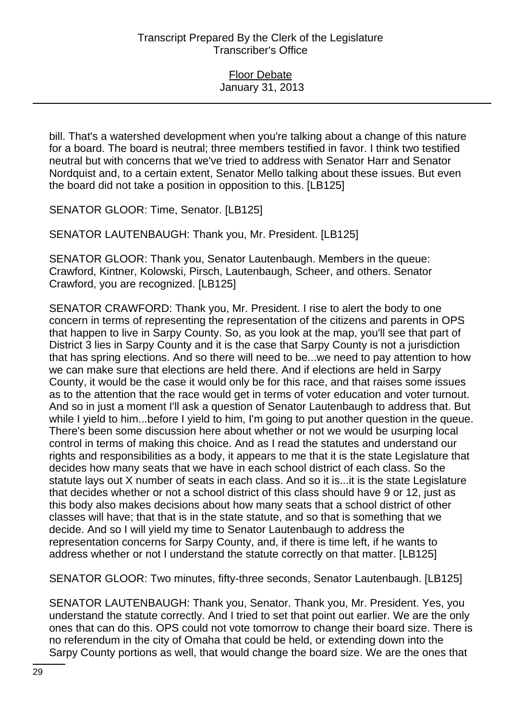bill. That's a watershed development when you're talking about a change of this nature for a board. The board is neutral; three members testified in favor. I think two testified neutral but with concerns that we've tried to address with Senator Harr and Senator Nordquist and, to a certain extent, Senator Mello talking about these issues. But even the board did not take a position in opposition to this. [LB125]

SENATOR GLOOR: Time, Senator. [LB125]

SENATOR LAUTENBAUGH: Thank you, Mr. President. [LB125]

SENATOR GLOOR: Thank you, Senator Lautenbaugh. Members in the queue: Crawford, Kintner, Kolowski, Pirsch, Lautenbaugh, Scheer, and others. Senator Crawford, you are recognized. [LB125]

SENATOR CRAWFORD: Thank you, Mr. President. I rise to alert the body to one concern in terms of representing the representation of the citizens and parents in OPS that happen to live in Sarpy County. So, as you look at the map, you'll see that part of District 3 lies in Sarpy County and it is the case that Sarpy County is not a jurisdiction that has spring elections. And so there will need to be...we need to pay attention to how we can make sure that elections are held there. And if elections are held in Sarpy County, it would be the case it would only be for this race, and that raises some issues as to the attention that the race would get in terms of voter education and voter turnout. And so in just a moment I'll ask a question of Senator Lautenbaugh to address that. But while I yield to him...before I yield to him, I'm going to put another question in the queue. There's been some discussion here about whether or not we would be usurping local control in terms of making this choice. And as I read the statutes and understand our rights and responsibilities as a body, it appears to me that it is the state Legislature that decides how many seats that we have in each school district of each class. So the statute lays out X number of seats in each class. And so it is...it is the state Legislature that decides whether or not a school district of this class should have 9 or 12, just as this body also makes decisions about how many seats that a school district of other classes will have; that that is in the state statute, and so that is something that we decide. And so I will yield my time to Senator Lautenbaugh to address the representation concerns for Sarpy County, and, if there is time left, if he wants to address whether or not I understand the statute correctly on that matter. [LB125]

SENATOR GLOOR: Two minutes, fifty-three seconds, Senator Lautenbaugh. [LB125]

SENATOR LAUTENBAUGH: Thank you, Senator. Thank you, Mr. President. Yes, you understand the statute correctly. And I tried to set that point out earlier. We are the only ones that can do this. OPS could not vote tomorrow to change their board size. There is no referendum in the city of Omaha that could be held, or extending down into the Sarpy County portions as well, that would change the board size. We are the ones that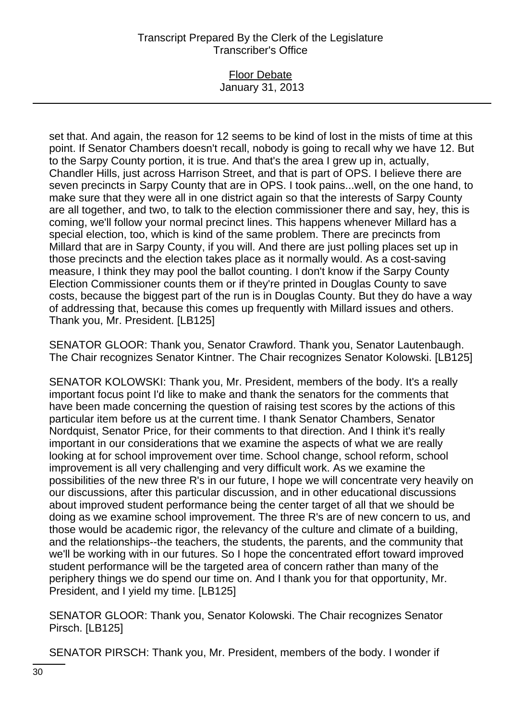## Floor Debate January 31, 2013

set that. And again, the reason for 12 seems to be kind of lost in the mists of time at this point. If Senator Chambers doesn't recall, nobody is going to recall why we have 12. But to the Sarpy County portion, it is true. And that's the area I grew up in, actually, Chandler Hills, just across Harrison Street, and that is part of OPS. I believe there are seven precincts in Sarpy County that are in OPS. I took pains...well, on the one hand, to make sure that they were all in one district again so that the interests of Sarpy County are all together, and two, to talk to the election commissioner there and say, hey, this is coming, we'll follow your normal precinct lines. This happens whenever Millard has a special election, too, which is kind of the same problem. There are precincts from Millard that are in Sarpy County, if you will. And there are just polling places set up in those precincts and the election takes place as it normally would. As a cost-saving measure, I think they may pool the ballot counting. I don't know if the Sarpy County Election Commissioner counts them or if they're printed in Douglas County to save costs, because the biggest part of the run is in Douglas County. But they do have a way of addressing that, because this comes up frequently with Millard issues and others. Thank you, Mr. President. [LB125]

SENATOR GLOOR: Thank you, Senator Crawford. Thank you, Senator Lautenbaugh. The Chair recognizes Senator Kintner. The Chair recognizes Senator Kolowski. [LB125]

SENATOR KOLOWSKI: Thank you, Mr. President, members of the body. It's a really important focus point I'd like to make and thank the senators for the comments that have been made concerning the question of raising test scores by the actions of this particular item before us at the current time. I thank Senator Chambers, Senator Nordquist, Senator Price, for their comments to that direction. And I think it's really important in our considerations that we examine the aspects of what we are really looking at for school improvement over time. School change, school reform, school improvement is all very challenging and very difficult work. As we examine the possibilities of the new three R's in our future, I hope we will concentrate very heavily on our discussions, after this particular discussion, and in other educational discussions about improved student performance being the center target of all that we should be doing as we examine school improvement. The three R's are of new concern to us, and those would be academic rigor, the relevancy of the culture and climate of a building, and the relationships--the teachers, the students, the parents, and the community that we'll be working with in our futures. So I hope the concentrated effort toward improved student performance will be the targeted area of concern rather than many of the periphery things we do spend our time on. And I thank you for that opportunity, Mr. President, and I yield my time. [LB125]

SENATOR GLOOR: Thank you, Senator Kolowski. The Chair recognizes Senator Pirsch. [LB125]

SENATOR PIRSCH: Thank you, Mr. President, members of the body. I wonder if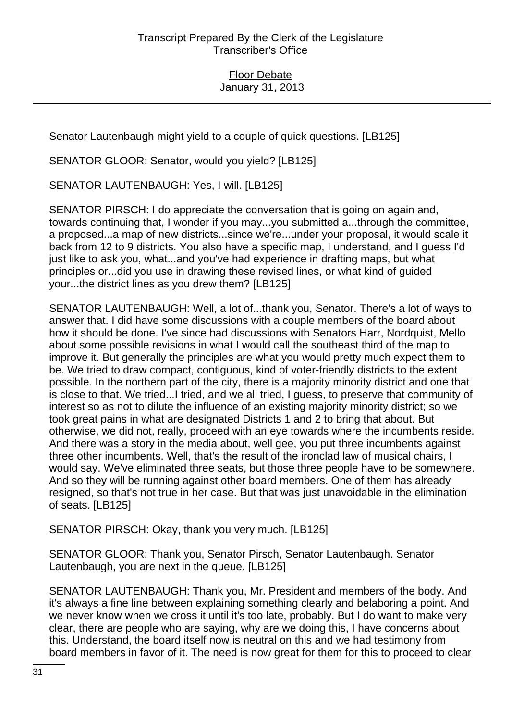Senator Lautenbaugh might yield to a couple of quick questions. [LB125]

SENATOR GLOOR: Senator, would you yield? [LB125]

SENATOR LAUTENBAUGH: Yes, I will. [LB125]

SENATOR PIRSCH: I do appreciate the conversation that is going on again and, towards continuing that, I wonder if you may...you submitted a...through the committee, a proposed...a map of new districts...since we're...under your proposal, it would scale it back from 12 to 9 districts. You also have a specific map, I understand, and I guess I'd just like to ask you, what...and you've had experience in drafting maps, but what principles or...did you use in drawing these revised lines, or what kind of guided your...the district lines as you drew them? [LB125]

SENATOR LAUTENBAUGH: Well, a lot of...thank you, Senator. There's a lot of ways to answer that. I did have some discussions with a couple members of the board about how it should be done. I've since had discussions with Senators Harr, Nordquist, Mello about some possible revisions in what I would call the southeast third of the map to improve it. But generally the principles are what you would pretty much expect them to be. We tried to draw compact, contiguous, kind of voter-friendly districts to the extent possible. In the northern part of the city, there is a majority minority district and one that is close to that. We tried...I tried, and we all tried, I guess, to preserve that community of interest so as not to dilute the influence of an existing majority minority district; so we took great pains in what are designated Districts 1 and 2 to bring that about. But otherwise, we did not, really, proceed with an eye towards where the incumbents reside. And there was a story in the media about, well gee, you put three incumbents against three other incumbents. Well, that's the result of the ironclad law of musical chairs, I would say. We've eliminated three seats, but those three people have to be somewhere. And so they will be running against other board members. One of them has already resigned, so that's not true in her case. But that was just unavoidable in the elimination of seats. [LB125]

SENATOR PIRSCH: Okay, thank you very much. [LB125]

SENATOR GLOOR: Thank you, Senator Pirsch, Senator Lautenbaugh. Senator Lautenbaugh, you are next in the queue. [LB125]

SENATOR LAUTENBAUGH: Thank you, Mr. President and members of the body. And it's always a fine line between explaining something clearly and belaboring a point. And we never know when we cross it until it's too late, probably. But I do want to make very clear, there are people who are saying, why are we doing this, I have concerns about this. Understand, the board itself now is neutral on this and we had testimony from board members in favor of it. The need is now great for them for this to proceed to clear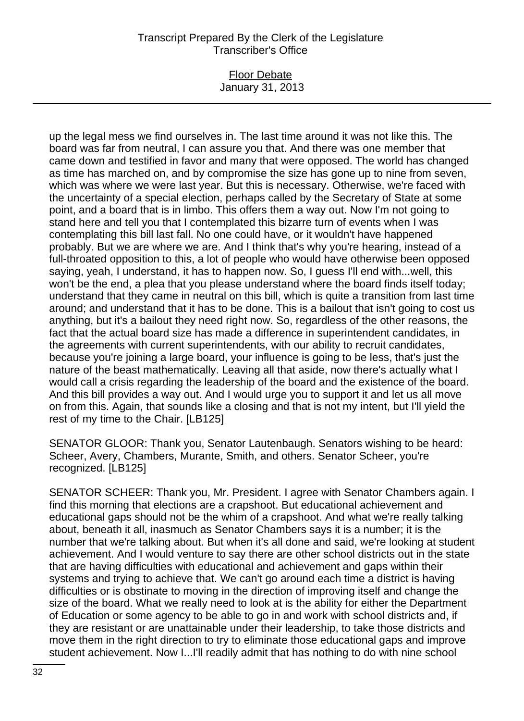#### Floor Debate January 31, 2013

up the legal mess we find ourselves in. The last time around it was not like this. The board was far from neutral, I can assure you that. And there was one member that came down and testified in favor and many that were opposed. The world has changed as time has marched on, and by compromise the size has gone up to nine from seven, which was where we were last year. But this is necessary. Otherwise, we're faced with the uncertainty of a special election, perhaps called by the Secretary of State at some point, and a board that is in limbo. This offers them a way out. Now I'm not going to stand here and tell you that I contemplated this bizarre turn of events when I was contemplating this bill last fall. No one could have, or it wouldn't have happened probably. But we are where we are. And I think that's why you're hearing, instead of a full-throated opposition to this, a lot of people who would have otherwise been opposed saying, yeah, I understand, it has to happen now. So, I guess I'll end with...well, this won't be the end, a plea that you please understand where the board finds itself today; understand that they came in neutral on this bill, which is quite a transition from last time around; and understand that it has to be done. This is a bailout that isn't going to cost us anything, but it's a bailout they need right now. So, regardless of the other reasons, the fact that the actual board size has made a difference in superintendent candidates, in the agreements with current superintendents, with our ability to recruit candidates, because you're joining a large board, your influence is going to be less, that's just the nature of the beast mathematically. Leaving all that aside, now there's actually what I would call a crisis regarding the leadership of the board and the existence of the board. And this bill provides a way out. And I would urge you to support it and let us all move on from this. Again, that sounds like a closing and that is not my intent, but I'll yield the rest of my time to the Chair. [LB125]

SENATOR GLOOR: Thank you, Senator Lautenbaugh. Senators wishing to be heard: Scheer, Avery, Chambers, Murante, Smith, and others. Senator Scheer, you're recognized. [LB125]

SENATOR SCHEER: Thank you, Mr. President. I agree with Senator Chambers again. I find this morning that elections are a crapshoot. But educational achievement and educational gaps should not be the whim of a crapshoot. And what we're really talking about, beneath it all, inasmuch as Senator Chambers says it is a number; it is the number that we're talking about. But when it's all done and said, we're looking at student achievement. And I would venture to say there are other school districts out in the state that are having difficulties with educational and achievement and gaps within their systems and trying to achieve that. We can't go around each time a district is having difficulties or is obstinate to moving in the direction of improving itself and change the size of the board. What we really need to look at is the ability for either the Department of Education or some agency to be able to go in and work with school districts and, if they are resistant or are unattainable under their leadership, to take those districts and move them in the right direction to try to eliminate those educational gaps and improve student achievement. Now I...I'll readily admit that has nothing to do with nine school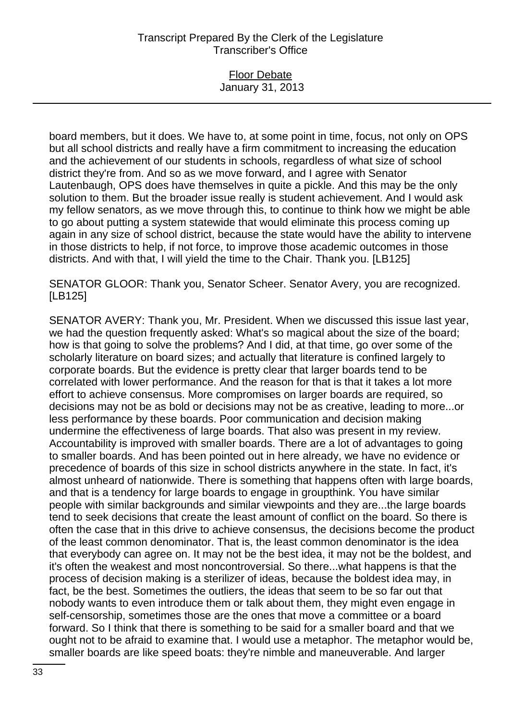## Floor Debate January 31, 2013

board members, but it does. We have to, at some point in time, focus, not only on OPS but all school districts and really have a firm commitment to increasing the education and the achievement of our students in schools, regardless of what size of school district they're from. And so as we move forward, and I agree with Senator Lautenbaugh, OPS does have themselves in quite a pickle. And this may be the only solution to them. But the broader issue really is student achievement. And I would ask my fellow senators, as we move through this, to continue to think how we might be able to go about putting a system statewide that would eliminate this process coming up again in any size of school district, because the state would have the ability to intervene in those districts to help, if not force, to improve those academic outcomes in those districts. And with that, I will yield the time to the Chair. Thank you. [LB125]

SENATOR GLOOR: Thank you, Senator Scheer. Senator Avery, you are recognized. [LB125]

SENATOR AVERY: Thank you, Mr. President. When we discussed this issue last year, we had the question frequently asked: What's so magical about the size of the board; how is that going to solve the problems? And I did, at that time, go over some of the scholarly literature on board sizes; and actually that literature is confined largely to corporate boards. But the evidence is pretty clear that larger boards tend to be correlated with lower performance. And the reason for that is that it takes a lot more effort to achieve consensus. More compromises on larger boards are required, so decisions may not be as bold or decisions may not be as creative, leading to more...or less performance by these boards. Poor communication and decision making undermine the effectiveness of large boards. That also was present in my review. Accountability is improved with smaller boards. There are a lot of advantages to going to smaller boards. And has been pointed out in here already, we have no evidence or precedence of boards of this size in school districts anywhere in the state. In fact, it's almost unheard of nationwide. There is something that happens often with large boards, and that is a tendency for large boards to engage in groupthink. You have similar people with similar backgrounds and similar viewpoints and they are...the large boards tend to seek decisions that create the least amount of conflict on the board. So there is often the case that in this drive to achieve consensus, the decisions become the product of the least common denominator. That is, the least common denominator is the idea that everybody can agree on. It may not be the best idea, it may not be the boldest, and it's often the weakest and most noncontroversial. So there...what happens is that the process of decision making is a sterilizer of ideas, because the boldest idea may, in fact, be the best. Sometimes the outliers, the ideas that seem to be so far out that nobody wants to even introduce them or talk about them, they might even engage in self-censorship, sometimes those are the ones that move a committee or a board forward. So I think that there is something to be said for a smaller board and that we ought not to be afraid to examine that. I would use a metaphor. The metaphor would be, smaller boards are like speed boats: they're nimble and maneuverable. And larger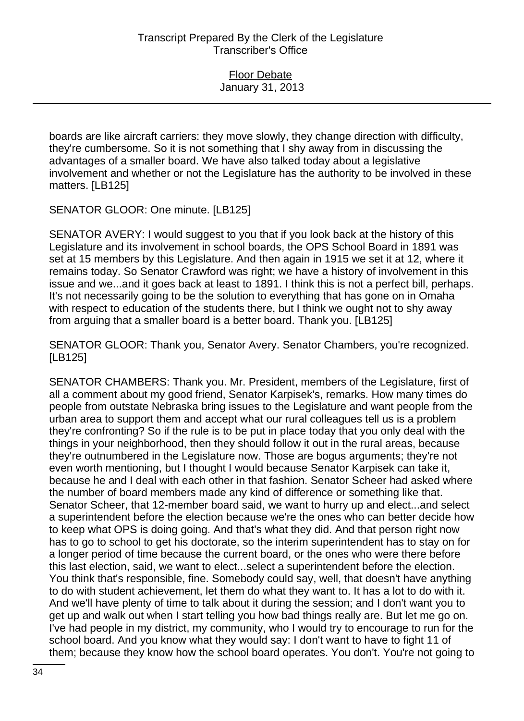boards are like aircraft carriers: they move slowly, they change direction with difficulty, they're cumbersome. So it is not something that I shy away from in discussing the advantages of a smaller board. We have also talked today about a legislative involvement and whether or not the Legislature has the authority to be involved in these matters. [LB125]

SENATOR GLOOR: One minute. [LB125]

SENATOR AVERY: I would suggest to you that if you look back at the history of this Legislature and its involvement in school boards, the OPS School Board in 1891 was set at 15 members by this Legislature. And then again in 1915 we set it at 12, where it remains today. So Senator Crawford was right; we have a history of involvement in this issue and we...and it goes back at least to 1891. I think this is not a perfect bill, perhaps. It's not necessarily going to be the solution to everything that has gone on in Omaha with respect to education of the students there, but I think we ought not to shy away from arguing that a smaller board is a better board. Thank you. [LB125]

SENATOR GLOOR: Thank you, Senator Avery. Senator Chambers, you're recognized. [LB125]

SENATOR CHAMBERS: Thank you. Mr. President, members of the Legislature, first of all a comment about my good friend, Senator Karpisek's, remarks. How many times do people from outstate Nebraska bring issues to the Legislature and want people from the urban area to support them and accept what our rural colleagues tell us is a problem they're confronting? So if the rule is to be put in place today that you only deal with the things in your neighborhood, then they should follow it out in the rural areas, because they're outnumbered in the Legislature now. Those are bogus arguments; they're not even worth mentioning, but I thought I would because Senator Karpisek can take it, because he and I deal with each other in that fashion. Senator Scheer had asked where the number of board members made any kind of difference or something like that. Senator Scheer, that 12-member board said, we want to hurry up and elect...and select a superintendent before the election because we're the ones who can better decide how to keep what OPS is doing going. And that's what they did. And that person right now has to go to school to get his doctorate, so the interim superintendent has to stay on for a longer period of time because the current board, or the ones who were there before this last election, said, we want to elect...select a superintendent before the election. You think that's responsible, fine. Somebody could say, well, that doesn't have anything to do with student achievement, let them do what they want to. It has a lot to do with it. And we'll have plenty of time to talk about it during the session; and I don't want you to get up and walk out when I start telling you how bad things really are. But let me go on. I've had people in my district, my community, who I would try to encourage to run for the school board. And you know what they would say: I don't want to have to fight 11 of them; because they know how the school board operates. You don't. You're not going to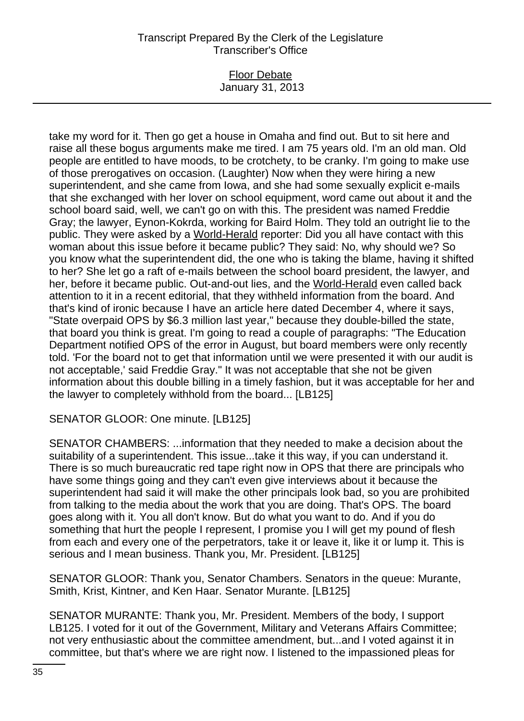### Floor Debate January 31, 2013

take my word for it. Then go get a house in Omaha and find out. But to sit here and raise all these bogus arguments make me tired. I am 75 years old. I'm an old man. Old people are entitled to have moods, to be crotchety, to be cranky. I'm going to make use of those prerogatives on occasion. (Laughter) Now when they were hiring a new superintendent, and she came from Iowa, and she had some sexually explicit e-mails that she exchanged with her lover on school equipment, word came out about it and the school board said, well, we can't go on with this. The president was named Freddie Gray; the lawyer, Eynon-Kokrda, working for Baird Holm. They told an outright lie to the public. They were asked by a World-Herald reporter: Did you all have contact with this woman about this issue before it became public? They said: No, why should we? So you know what the superintendent did, the one who is taking the blame, having it shifted to her? She let go a raft of e-mails between the school board president, the lawyer, and her, before it became public. Out-and-out lies, and the World-Herald even called back attention to it in a recent editorial, that they withheld information from the board. And that's kind of ironic because I have an article here dated December 4, where it says, "State overpaid OPS by \$6.3 million last year," because they double-billed the state, that board you think is great. I'm going to read a couple of paragraphs: "The Education Department notified OPS of the error in August, but board members were only recently told. 'For the board not to get that information until we were presented it with our audit is not acceptable,' said Freddie Gray." It was not acceptable that she not be given information about this double billing in a timely fashion, but it was acceptable for her and the lawyer to completely withhold from the board... [LB125]

## SENATOR GLOOR: One minute. [LB125]

SENATOR CHAMBERS: ...information that they needed to make a decision about the suitability of a superintendent. This issue...take it this way, if you can understand it. There is so much bureaucratic red tape right now in OPS that there are principals who have some things going and they can't even give interviews about it because the superintendent had said it will make the other principals look bad, so you are prohibited from talking to the media about the work that you are doing. That's OPS. The board goes along with it. You all don't know. But do what you want to do. And if you do something that hurt the people I represent, I promise you I will get my pound of flesh from each and every one of the perpetrators, take it or leave it, like it or lump it. This is serious and I mean business. Thank you, Mr. President. [LB125]

SENATOR GLOOR: Thank you, Senator Chambers. Senators in the queue: Murante, Smith, Krist, Kintner, and Ken Haar. Senator Murante. [LB125]

SENATOR MURANTE: Thank you, Mr. President. Members of the body, I support LB125. I voted for it out of the Government, Military and Veterans Affairs Committee; not very enthusiastic about the committee amendment, but...and I voted against it in committee, but that's where we are right now. I listened to the impassioned pleas for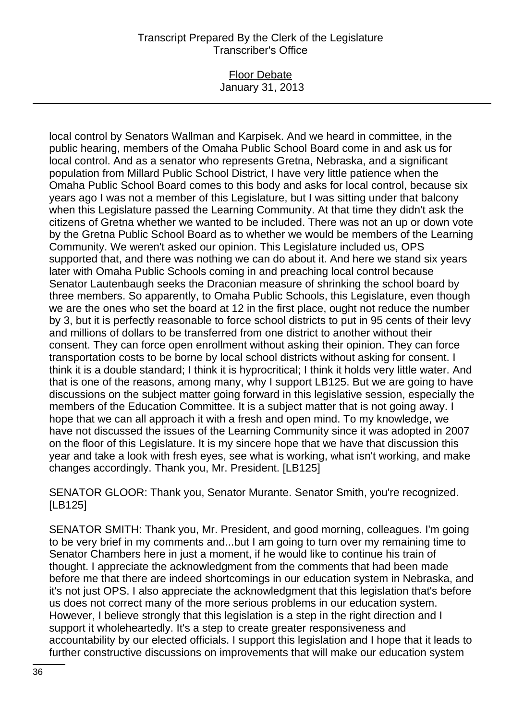#### Floor Debate January 31, 2013

local control by Senators Wallman and Karpisek. And we heard in committee, in the public hearing, members of the Omaha Public School Board come in and ask us for local control. And as a senator who represents Gretna, Nebraska, and a significant population from Millard Public School District, I have very little patience when the Omaha Public School Board comes to this body and asks for local control, because six years ago I was not a member of this Legislature, but I was sitting under that balcony when this Legislature passed the Learning Community. At that time they didn't ask the citizens of Gretna whether we wanted to be included. There was not an up or down vote by the Gretna Public School Board as to whether we would be members of the Learning Community. We weren't asked our opinion. This Legislature included us, OPS supported that, and there was nothing we can do about it. And here we stand six years later with Omaha Public Schools coming in and preaching local control because Senator Lautenbaugh seeks the Draconian measure of shrinking the school board by three members. So apparently, to Omaha Public Schools, this Legislature, even though we are the ones who set the board at 12 in the first place, ought not reduce the number by 3, but it is perfectly reasonable to force school districts to put in 95 cents of their levy and millions of dollars to be transferred from one district to another without their consent. They can force open enrollment without asking their opinion. They can force transportation costs to be borne by local school districts without asking for consent. I think it is a double standard; I think it is hyprocritical; I think it holds very little water. And that is one of the reasons, among many, why I support LB125. But we are going to have discussions on the subject matter going forward in this legislative session, especially the members of the Education Committee. It is a subject matter that is not going away. I hope that we can all approach it with a fresh and open mind. To my knowledge, we have not discussed the issues of the Learning Community since it was adopted in 2007 on the floor of this Legislature. It is my sincere hope that we have that discussion this year and take a look with fresh eyes, see what is working, what isn't working, and make changes accordingly. Thank you, Mr. President. [LB125]

SENATOR GLOOR: Thank you, Senator Murante. Senator Smith, you're recognized. [LB125]

SENATOR SMITH: Thank you, Mr. President, and good morning, colleagues. I'm going to be very brief in my comments and...but I am going to turn over my remaining time to Senator Chambers here in just a moment, if he would like to continue his train of thought. I appreciate the acknowledgment from the comments that had been made before me that there are indeed shortcomings in our education system in Nebraska, and it's not just OPS. I also appreciate the acknowledgment that this legislation that's before us does not correct many of the more serious problems in our education system. However, I believe strongly that this legislation is a step in the right direction and I support it wholeheartedly. It's a step to create greater responsiveness and accountability by our elected officials. I support this legislation and I hope that it leads to further constructive discussions on improvements that will make our education system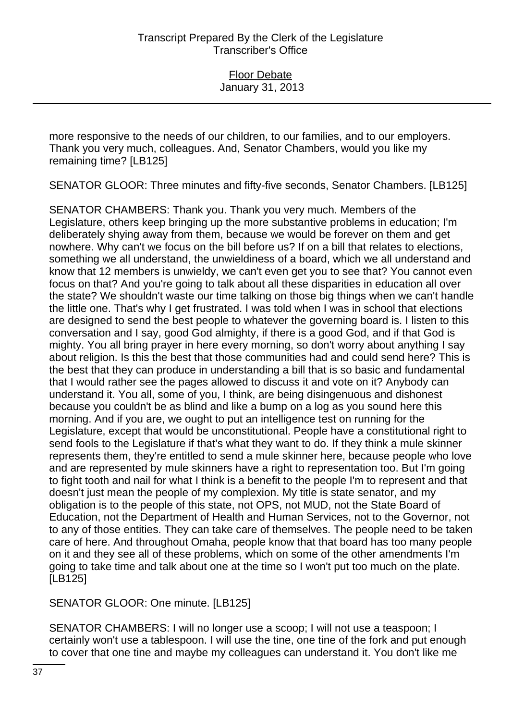more responsive to the needs of our children, to our families, and to our employers. Thank you very much, colleagues. And, Senator Chambers, would you like my remaining time? [LB125]

SENATOR GLOOR: Three minutes and fifty-five seconds, Senator Chambers. [LB125]

SENATOR CHAMBERS: Thank you. Thank you very much. Members of the Legislature, others keep bringing up the more substantive problems in education; I'm deliberately shying away from them, because we would be forever on them and get nowhere. Why can't we focus on the bill before us? If on a bill that relates to elections, something we all understand, the unwieldiness of a board, which we all understand and know that 12 members is unwieldy, we can't even get you to see that? You cannot even focus on that? And you're going to talk about all these disparities in education all over the state? We shouldn't waste our time talking on those big things when we can't handle the little one. That's why I get frustrated. I was told when I was in school that elections are designed to send the best people to whatever the governing board is. I listen to this conversation and I say, good God almighty, if there is a good God, and if that God is mighty. You all bring prayer in here every morning, so don't worry about anything I say about religion. Is this the best that those communities had and could send here? This is the best that they can produce in understanding a bill that is so basic and fundamental that I would rather see the pages allowed to discuss it and vote on it? Anybody can understand it. You all, some of you, I think, are being disingenuous and dishonest because you couldn't be as blind and like a bump on a log as you sound here this morning. And if you are, we ought to put an intelligence test on running for the Legislature, except that would be unconstitutional. People have a constitutional right to send fools to the Legislature if that's what they want to do. If they think a mule skinner represents them, they're entitled to send a mule skinner here, because people who love and are represented by mule skinners have a right to representation too. But I'm going to fight tooth and nail for what I think is a benefit to the people I'm to represent and that doesn't just mean the people of my complexion. My title is state senator, and my obligation is to the people of this state, not OPS, not MUD, not the State Board of Education, not the Department of Health and Human Services, not to the Governor, not to any of those entities. They can take care of themselves. The people need to be taken care of here. And throughout Omaha, people know that that board has too many people on it and they see all of these problems, which on some of the other amendments I'm going to take time and talk about one at the time so I won't put too much on the plate. [LB125]

SENATOR GLOOR: One minute. [LB125]

SENATOR CHAMBERS: I will no longer use a scoop; I will not use a teaspoon; I certainly won't use a tablespoon. I will use the tine, one tine of the fork and put enough to cover that one tine and maybe my colleagues can understand it. You don't like me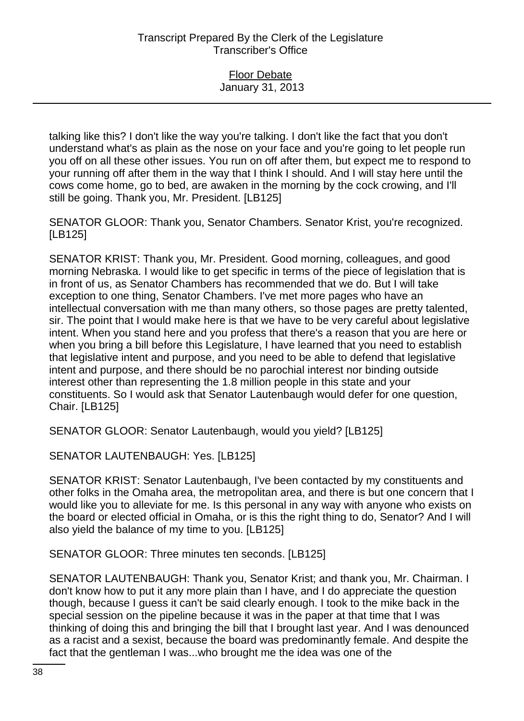talking like this? I don't like the way you're talking. I don't like the fact that you don't understand what's as plain as the nose on your face and you're going to let people run you off on all these other issues. You run on off after them, but expect me to respond to your running off after them in the way that I think I should. And I will stay here until the cows come home, go to bed, are awaken in the morning by the cock crowing, and I'll still be going. Thank you, Mr. President. [LB125]

SENATOR GLOOR: Thank you, Senator Chambers. Senator Krist, you're recognized. [LB125]

SENATOR KRIST: Thank you, Mr. President. Good morning, colleagues, and good morning Nebraska. I would like to get specific in terms of the piece of legislation that is in front of us, as Senator Chambers has recommended that we do. But I will take exception to one thing, Senator Chambers. I've met more pages who have an intellectual conversation with me than many others, so those pages are pretty talented, sir. The point that I would make here is that we have to be very careful about legislative intent. When you stand here and you profess that there's a reason that you are here or when you bring a bill before this Legislature, I have learned that you need to establish that legislative intent and purpose, and you need to be able to defend that legislative intent and purpose, and there should be no parochial interest nor binding outside interest other than representing the 1.8 million people in this state and your constituents. So I would ask that Senator Lautenbaugh would defer for one question, Chair. [LB125]

SENATOR GLOOR: Senator Lautenbaugh, would you yield? [LB125]

SENATOR LAUTENBAUGH: Yes. [LB125]

SENATOR KRIST: Senator Lautenbaugh, I've been contacted by my constituents and other folks in the Omaha area, the metropolitan area, and there is but one concern that I would like you to alleviate for me. Is this personal in any way with anyone who exists on the board or elected official in Omaha, or is this the right thing to do, Senator? And I will also yield the balance of my time to you. [LB125]

SENATOR GLOOR: Three minutes ten seconds. [LB125]

SENATOR LAUTENBAUGH: Thank you, Senator Krist; and thank you, Mr. Chairman. I don't know how to put it any more plain than I have, and I do appreciate the question though, because I guess it can't be said clearly enough. I took to the mike back in the special session on the pipeline because it was in the paper at that time that I was thinking of doing this and bringing the bill that I brought last year. And I was denounced as a racist and a sexist, because the board was predominantly female. And despite the fact that the gentleman I was...who brought me the idea was one of the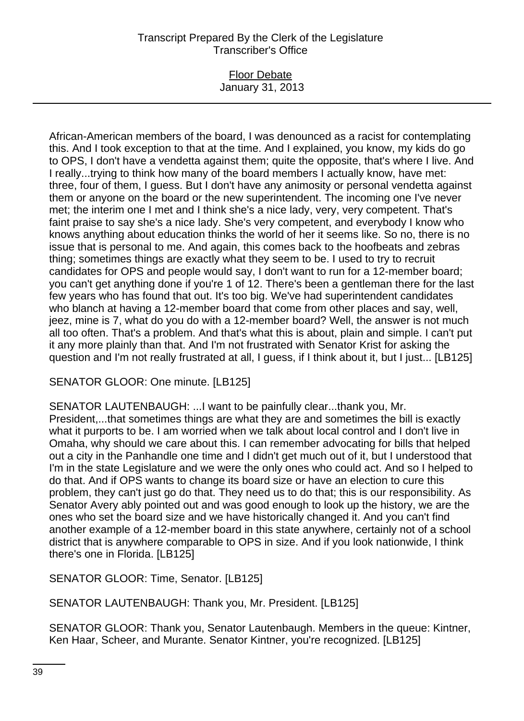## Floor Debate January 31, 2013

African-American members of the board, I was denounced as a racist for contemplating this. And I took exception to that at the time. And I explained, you know, my kids do go to OPS, I don't have a vendetta against them; quite the opposite, that's where I live. And I really...trying to think how many of the board members I actually know, have met: three, four of them, I guess. But I don't have any animosity or personal vendetta against them or anyone on the board or the new superintendent. The incoming one I've never met; the interim one I met and I think she's a nice lady, very, very competent. That's faint praise to say she's a nice lady. She's very competent, and everybody I know who knows anything about education thinks the world of her it seems like. So no, there is no issue that is personal to me. And again, this comes back to the hoofbeats and zebras thing; sometimes things are exactly what they seem to be. I used to try to recruit candidates for OPS and people would say, I don't want to run for a 12-member board; you can't get anything done if you're 1 of 12. There's been a gentleman there for the last few years who has found that out. It's too big. We've had superintendent candidates who blanch at having a 12-member board that come from other places and say, well, jeez, mine is 7, what do you do with a 12-member board? Well, the answer is not much all too often. That's a problem. And that's what this is about, plain and simple. I can't put it any more plainly than that. And I'm not frustrated with Senator Krist for asking the question and I'm not really frustrated at all, I guess, if I think about it, but I just... [LB125]

SENATOR GLOOR: One minute. [LB125]

SENATOR LAUTENBAUGH: ...I want to be painfully clear...thank you, Mr. President,...that sometimes things are what they are and sometimes the bill is exactly what it purports to be. I am worried when we talk about local control and I don't live in Omaha, why should we care about this. I can remember advocating for bills that helped out a city in the Panhandle one time and I didn't get much out of it, but I understood that I'm in the state Legislature and we were the only ones who could act. And so I helped to do that. And if OPS wants to change its board size or have an election to cure this problem, they can't just go do that. They need us to do that; this is our responsibility. As Senator Avery ably pointed out and was good enough to look up the history, we are the ones who set the board size and we have historically changed it. And you can't find another example of a 12-member board in this state anywhere, certainly not of a school district that is anywhere comparable to OPS in size. And if you look nationwide, I think there's one in Florida. [LB125]

SENATOR GLOOR: Time, Senator. [LB125]

SENATOR LAUTENBAUGH: Thank you, Mr. President. [LB125]

SENATOR GLOOR: Thank you, Senator Lautenbaugh. Members in the queue: Kintner, Ken Haar, Scheer, and Murante. Senator Kintner, you're recognized. [LB125]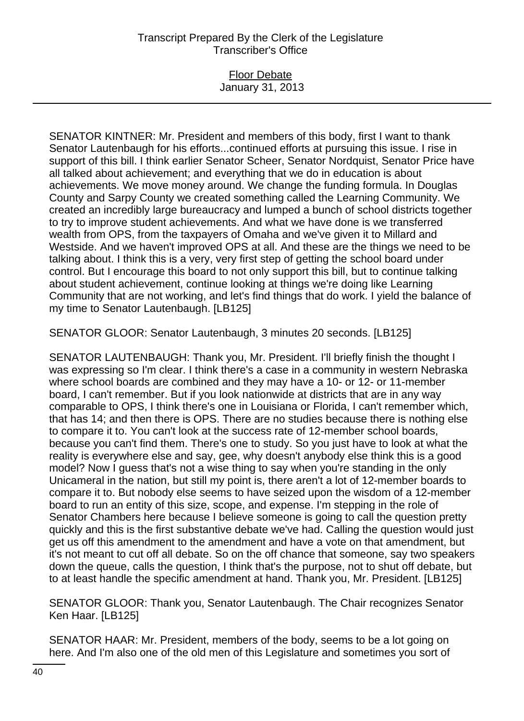### Floor Debate January 31, 2013

SENATOR KINTNER: Mr. President and members of this body, first I want to thank Senator Lautenbaugh for his efforts...continued efforts at pursuing this issue. I rise in support of this bill. I think earlier Senator Scheer, Senator Nordquist, Senator Price have all talked about achievement; and everything that we do in education is about achievements. We move money around. We change the funding formula. In Douglas County and Sarpy County we created something called the Learning Community. We created an incredibly large bureaucracy and lumped a bunch of school districts together to try to improve student achievements. And what we have done is we transferred wealth from OPS, from the taxpayers of Omaha and we've given it to Millard and Westside. And we haven't improved OPS at all. And these are the things we need to be talking about. I think this is a very, very first step of getting the school board under control. But I encourage this board to not only support this bill, but to continue talking about student achievement, continue looking at things we're doing like Learning Community that are not working, and let's find things that do work. I yield the balance of my time to Senator Lautenbaugh. [LB125]

SENATOR GLOOR: Senator Lautenbaugh, 3 minutes 20 seconds. [LB125]

SENATOR LAUTENBAUGH: Thank you, Mr. President. I'll briefly finish the thought I was expressing so I'm clear. I think there's a case in a community in western Nebraska where school boards are combined and they may have a 10- or 12- or 11-member board, I can't remember. But if you look nationwide at districts that are in any way comparable to OPS, I think there's one in Louisiana or Florida, I can't remember which, that has 14; and then there is OPS. There are no studies because there is nothing else to compare it to. You can't look at the success rate of 12-member school boards, because you can't find them. There's one to study. So you just have to look at what the reality is everywhere else and say, gee, why doesn't anybody else think this is a good model? Now I guess that's not a wise thing to say when you're standing in the only Unicameral in the nation, but still my point is, there aren't a lot of 12-member boards to compare it to. But nobody else seems to have seized upon the wisdom of a 12-member board to run an entity of this size, scope, and expense. I'm stepping in the role of Senator Chambers here because I believe someone is going to call the question pretty quickly and this is the first substantive debate we've had. Calling the question would just get us off this amendment to the amendment and have a vote on that amendment, but it's not meant to cut off all debate. So on the off chance that someone, say two speakers down the queue, calls the question, I think that's the purpose, not to shut off debate, but to at least handle the specific amendment at hand. Thank you, Mr. President. [LB125]

SENATOR GLOOR: Thank you, Senator Lautenbaugh. The Chair recognizes Senator Ken Haar. [LB125]

SENATOR HAAR: Mr. President, members of the body, seems to be a lot going on here. And I'm also one of the old men of this Legislature and sometimes you sort of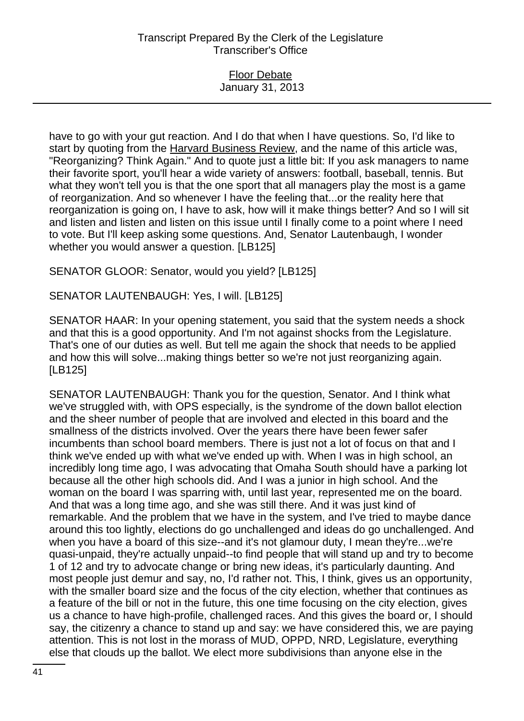### Floor Debate January 31, 2013

have to go with your gut reaction. And I do that when I have questions. So, I'd like to start by quoting from the Harvard Business Review, and the name of this article was, "Reorganizing? Think Again." And to quote just a little bit: If you ask managers to name their favorite sport, you'll hear a wide variety of answers: football, baseball, tennis. But what they won't tell you is that the one sport that all managers play the most is a game of reorganization. And so whenever I have the feeling that...or the reality here that reorganization is going on, I have to ask, how will it make things better? And so I will sit and listen and listen and listen on this issue until I finally come to a point where I need to vote. But I'll keep asking some questions. And, Senator Lautenbaugh, I wonder whether you would answer a question. [LB125]

SENATOR GLOOR: Senator, would you yield? [LB125]

SENATOR LAUTENBAUGH: Yes, I will. [LB125]

SENATOR HAAR: In your opening statement, you said that the system needs a shock and that this is a good opportunity. And I'm not against shocks from the Legislature. That's one of our duties as well. But tell me again the shock that needs to be applied and how this will solve...making things better so we're not just reorganizing again. [LB125]

SENATOR LAUTENBAUGH: Thank you for the question, Senator. And I think what we've struggled with, with OPS especially, is the syndrome of the down ballot election and the sheer number of people that are involved and elected in this board and the smallness of the districts involved. Over the years there have been fewer safer incumbents than school board members. There is just not a lot of focus on that and I think we've ended up with what we've ended up with. When I was in high school, an incredibly long time ago, I was advocating that Omaha South should have a parking lot because all the other high schools did. And I was a junior in high school. And the woman on the board I was sparring with, until last year, represented me on the board. And that was a long time ago, and she was still there. And it was just kind of remarkable. And the problem that we have in the system, and I've tried to maybe dance around this too lightly, elections do go unchallenged and ideas do go unchallenged. And when you have a board of this size--and it's not glamour duty, I mean they're...we're quasi-unpaid, they're actually unpaid--to find people that will stand up and try to become 1 of 12 and try to advocate change or bring new ideas, it's particularly daunting. And most people just demur and say, no, I'd rather not. This, I think, gives us an opportunity, with the smaller board size and the focus of the city election, whether that continues as a feature of the bill or not in the future, this one time focusing on the city election, gives us a chance to have high-profile, challenged races. And this gives the board or, I should say, the citizenry a chance to stand up and say: we have considered this, we are paying attention. This is not lost in the morass of MUD, OPPD, NRD, Legislature, everything else that clouds up the ballot. We elect more subdivisions than anyone else in the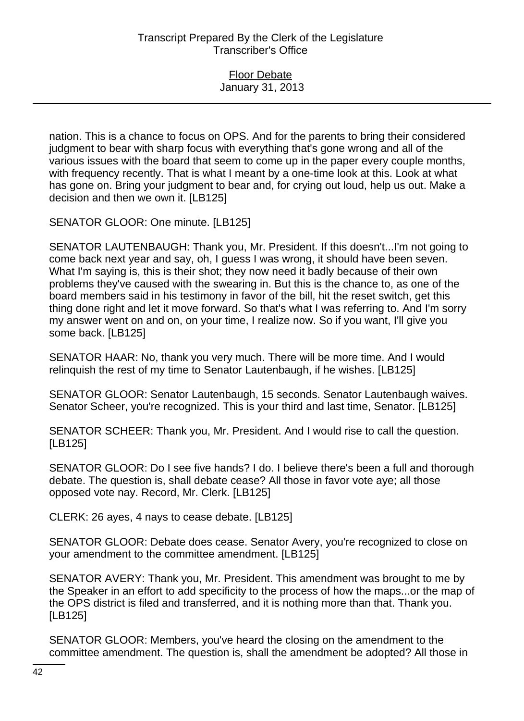nation. This is a chance to focus on OPS. And for the parents to bring their considered judgment to bear with sharp focus with everything that's gone wrong and all of the various issues with the board that seem to come up in the paper every couple months, with frequency recently. That is what I meant by a one-time look at this. Look at what has gone on. Bring your judgment to bear and, for crying out loud, help us out. Make a decision and then we own it. [LB125]

SENATOR GLOOR: One minute. [LB125]

SENATOR LAUTENBAUGH: Thank you, Mr. President. If this doesn't...I'm not going to come back next year and say, oh, I guess I was wrong, it should have been seven. What I'm saying is, this is their shot; they now need it badly because of their own problems they've caused with the swearing in. But this is the chance to, as one of the board members said in his testimony in favor of the bill, hit the reset switch, get this thing done right and let it move forward. So that's what I was referring to. And I'm sorry my answer went on and on, on your time, I realize now. So if you want, I'll give you some back. [LB125]

SENATOR HAAR: No, thank you very much. There will be more time. And I would relinquish the rest of my time to Senator Lautenbaugh, if he wishes. [LB125]

SENATOR GLOOR: Senator Lautenbaugh, 15 seconds. Senator Lautenbaugh waives. Senator Scheer, you're recognized. This is your third and last time, Senator. [LB125]

SENATOR SCHEER: Thank you, Mr. President. And I would rise to call the question. [LB125]

SENATOR GLOOR: Do I see five hands? I do. I believe there's been a full and thorough debate. The question is, shall debate cease? All those in favor vote aye; all those opposed vote nay. Record, Mr. Clerk. [LB125]

CLERK: 26 ayes, 4 nays to cease debate. [LB125]

SENATOR GLOOR: Debate does cease. Senator Avery, you're recognized to close on your amendment to the committee amendment. [LB125]

SENATOR AVERY: Thank you, Mr. President. This amendment was brought to me by the Speaker in an effort to add specificity to the process of how the maps...or the map of the OPS district is filed and transferred, and it is nothing more than that. Thank you. [LB125]

SENATOR GLOOR: Members, you've heard the closing on the amendment to the committee amendment. The question is, shall the amendment be adopted? All those in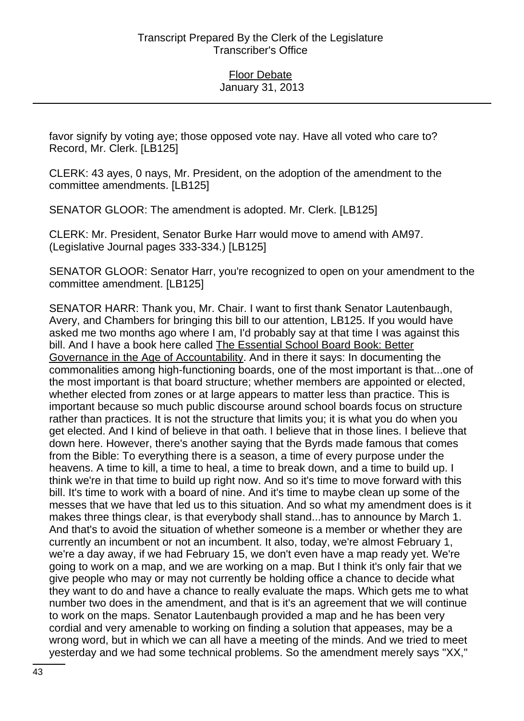favor signify by voting aye; those opposed vote nay. Have all voted who care to? Record, Mr. Clerk. [LB125]

CLERK: 43 ayes, 0 nays, Mr. President, on the adoption of the amendment to the committee amendments. [LB125]

SENATOR GLOOR: The amendment is adopted. Mr. Clerk. [LB125]

CLERK: Mr. President, Senator Burke Harr would move to amend with AM97. (Legislative Journal pages 333-334.) [LB125]

SENATOR GLOOR: Senator Harr, you're recognized to open on your amendment to the committee amendment. [LB125]

SENATOR HARR: Thank you, Mr. Chair. I want to first thank Senator Lautenbaugh, Avery, and Chambers for bringing this bill to our attention, LB125. If you would have asked me two months ago where I am, I'd probably say at that time I was against this bill. And I have a book here called The Essential School Board Book: Better Governance in the Age of Accountability. And in there it says: In documenting the commonalities among high-functioning boards, one of the most important is that...one of the most important is that board structure; whether members are appointed or elected, whether elected from zones or at large appears to matter less than practice. This is important because so much public discourse around school boards focus on structure rather than practices. It is not the structure that limits you; it is what you do when you get elected. And I kind of believe in that oath. I believe that in those lines. I believe that down here. However, there's another saying that the Byrds made famous that comes from the Bible: To everything there is a season, a time of every purpose under the heavens. A time to kill, a time to heal, a time to break down, and a time to build up. I think we're in that time to build up right now. And so it's time to move forward with this bill. It's time to work with a board of nine. And it's time to maybe clean up some of the messes that we have that led us to this situation. And so what my amendment does is it makes three things clear, is that everybody shall stand...has to announce by March 1. And that's to avoid the situation of whether someone is a member or whether they are currently an incumbent or not an incumbent. It also, today, we're almost February 1, we're a day away, if we had February 15, we don't even have a map ready yet. We're going to work on a map, and we are working on a map. But I think it's only fair that we give people who may or may not currently be holding office a chance to decide what they want to do and have a chance to really evaluate the maps. Which gets me to what number two does in the amendment, and that is it's an agreement that we will continue to work on the maps. Senator Lautenbaugh provided a map and he has been very cordial and very amenable to working on finding a solution that appeases, may be a wrong word, but in which we can all have a meeting of the minds. And we tried to meet yesterday and we had some technical problems. So the amendment merely says "XX,"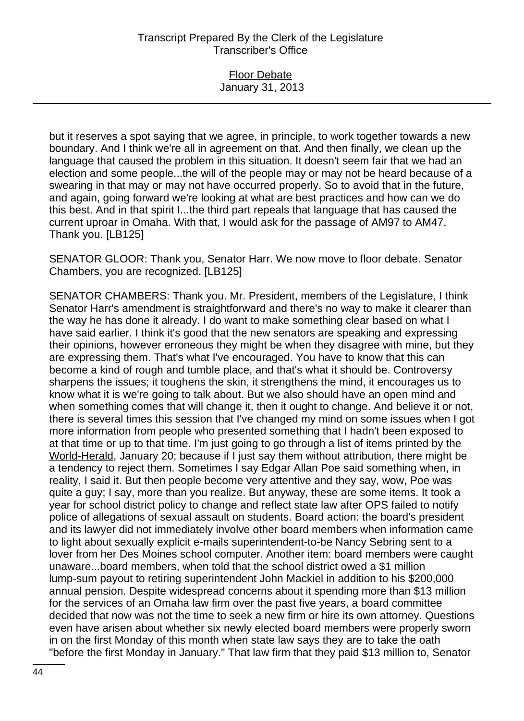## Floor Debate January 31, 2013

but it reserves a spot saying that we agree, in principle, to work together towards a new boundary. And I think we're all in agreement on that. And then finally, we clean up the language that caused the problem in this situation. It doesn't seem fair that we had an election and some people...the will of the people may or may not be heard because of a swearing in that may or may not have occurred properly. So to avoid that in the future, and again, going forward we're looking at what are best practices and how can we do this best. And in that spirit I...the third part repeals that language that has caused the current uproar in Omaha. With that, I would ask for the passage of AM97 to AM47. Thank you. [LB125]

SENATOR GLOOR: Thank you, Senator Harr. We now move to floor debate. Senator Chambers, you are recognized. [LB125]

SENATOR CHAMBERS: Thank you. Mr. President, members of the Legislature, I think Senator Harr's amendment is straightforward and there's no way to make it clearer than the way he has done it already. I do want to make something clear based on what I have said earlier. I think it's good that the new senators are speaking and expressing their opinions, however erroneous they might be when they disagree with mine, but they are expressing them. That's what I've encouraged. You have to know that this can become a kind of rough and tumble place, and that's what it should be. Controversy sharpens the issues; it toughens the skin, it strengthens the mind, it encourages us to know what it is we're going to talk about. But we also should have an open mind and when something comes that will change it, then it ought to change. And believe it or not, there is several times this session that I've changed my mind on some issues when I got more information from people who presented something that I hadn't been exposed to at that time or up to that time. I'm just going to go through a list of items printed by the World-Herald, January 20; because if I just say them without attribution, there might be a tendency to reject them. Sometimes I say Edgar Allan Poe said something when, in reality, I said it. But then people become very attentive and they say, wow, Poe was quite a guy; I say, more than you realize. But anyway, these are some items. It took a year for school district policy to change and reflect state law after OPS failed to notify police of allegations of sexual assault on students. Board action: the board's president and its lawyer did not immediately involve other board members when information came to light about sexually explicit e-mails superintendent-to-be Nancy Sebring sent to a lover from her Des Moines school computer. Another item: board members were caught unaware...board members, when told that the school district owed a \$1 million lump-sum payout to retiring superintendent John Mackiel in addition to his \$200,000 annual pension. Despite widespread concerns about it spending more than \$13 million for the services of an Omaha law firm over the past five years, a board committee decided that now was not the time to seek a new firm or hire its own attorney. Questions even have arisen about whether six newly elected board members were properly sworn in on the first Monday of this month when state law says they are to take the oath "before the first Monday in January." That law firm that they paid \$13 million to, Senator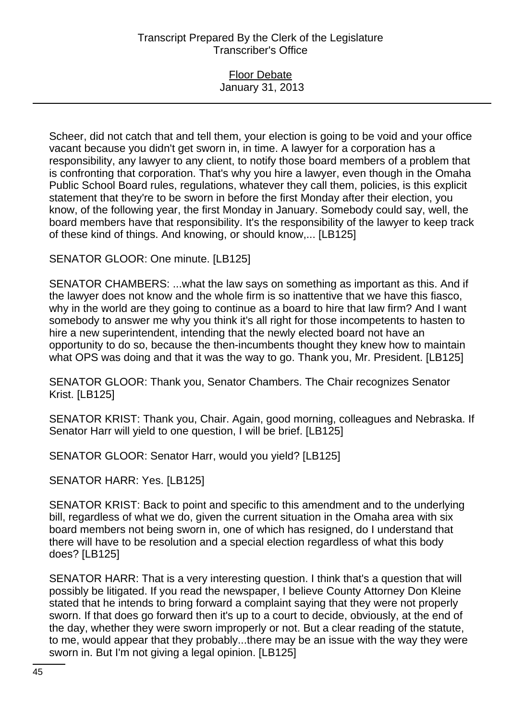## Floor Debate January 31, 2013

Scheer, did not catch that and tell them, your election is going to be void and your office vacant because you didn't get sworn in, in time. A lawyer for a corporation has a responsibility, any lawyer to any client, to notify those board members of a problem that is confronting that corporation. That's why you hire a lawyer, even though in the Omaha Public School Board rules, regulations, whatever they call them, policies, is this explicit statement that they're to be sworn in before the first Monday after their election, you know, of the following year, the first Monday in January. Somebody could say, well, the board members have that responsibility. It's the responsibility of the lawyer to keep track of these kind of things. And knowing, or should know,... [LB125]

SENATOR GLOOR: One minute. [LB125]

SENATOR CHAMBERS: ...what the law says on something as important as this. And if the lawyer does not know and the whole firm is so inattentive that we have this fiasco, why in the world are they going to continue as a board to hire that law firm? And I want somebody to answer me why you think it's all right for those incompetents to hasten to hire a new superintendent, intending that the newly elected board not have an opportunity to do so, because the then-incumbents thought they knew how to maintain what OPS was doing and that it was the way to go. Thank you, Mr. President. [LB125]

SENATOR GLOOR: Thank you, Senator Chambers. The Chair recognizes Senator Krist. [LB125]

SENATOR KRIST: Thank you, Chair. Again, good morning, colleagues and Nebraska. If Senator Harr will yield to one question, I will be brief. [LB125]

SENATOR GLOOR: Senator Harr, would you yield? [LB125]

SENATOR HARR: Yes. [LB125]

SENATOR KRIST: Back to point and specific to this amendment and to the underlying bill, regardless of what we do, given the current situation in the Omaha area with six board members not being sworn in, one of which has resigned, do I understand that there will have to be resolution and a special election regardless of what this body does? [LB125]

SENATOR HARR: That is a very interesting question. I think that's a question that will possibly be litigated. If you read the newspaper, I believe County Attorney Don Kleine stated that he intends to bring forward a complaint saying that they were not properly sworn. If that does go forward then it's up to a court to decide, obviously, at the end of the day, whether they were sworn improperly or not. But a clear reading of the statute, to me, would appear that they probably...there may be an issue with the way they were sworn in. But I'm not giving a legal opinion. [LB125]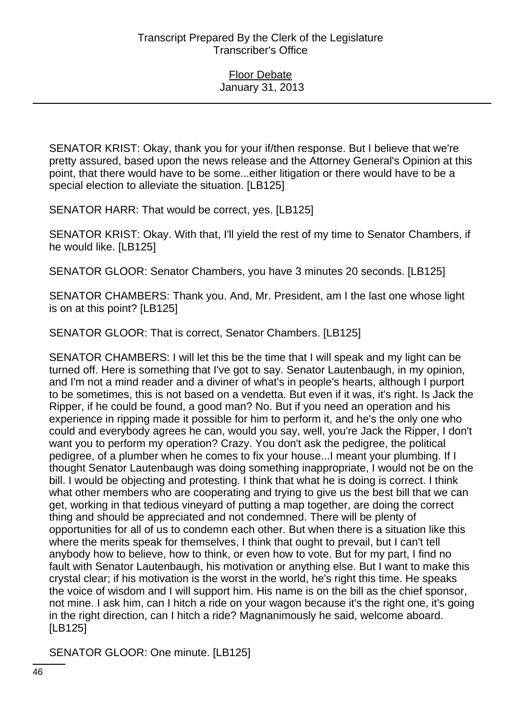SENATOR KRIST: Okay, thank you for your if/then response. But I believe that we're pretty assured, based upon the news release and the Attorney General's Opinion at this point, that there would have to be some...either litigation or there would have to be a special election to alleviate the situation. [LB125]

SENATOR HARR: That would be correct, yes. [LB125]

SENATOR KRIST: Okay. With that, I'll yield the rest of my time to Senator Chambers, if he would like. [LB125]

SENATOR GLOOR: Senator Chambers, you have 3 minutes 20 seconds. [LB125]

SENATOR CHAMBERS: Thank you. And, Mr. President, am I the last one whose light is on at this point? [LB125]

SENATOR GLOOR: That is correct, Senator Chambers. [LB125]

SENATOR CHAMBERS: I will let this be the time that I will speak and my light can be turned off. Here is something that I've got to say. Senator Lautenbaugh, in my opinion, and I'm not a mind reader and a diviner of what's in people's hearts, although I purport to be sometimes, this is not based on a vendetta. But even if it was, it's right. Is Jack the Ripper, if he could be found, a good man? No. But if you need an operation and his experience in ripping made it possible for him to perform it, and he's the only one who could and everybody agrees he can, would you say, well, you're Jack the Ripper, I don't want you to perform my operation? Crazy. You don't ask the pedigree, the political pedigree, of a plumber when he comes to fix your house...I meant your plumbing. If I thought Senator Lautenbaugh was doing something inappropriate, I would not be on the bill. I would be objecting and protesting. I think that what he is doing is correct. I think what other members who are cooperating and trying to give us the best bill that we can get, working in that tedious vineyard of putting a map together, are doing the correct thing and should be appreciated and not condemned. There will be plenty of opportunities for all of us to condemn each other. But when there is a situation like this where the merits speak for themselves, I think that ought to prevail, but I can't tell anybody how to believe, how to think, or even how to vote. But for my part, I find no fault with Senator Lautenbaugh, his motivation or anything else. But I want to make this crystal clear; if his motivation is the worst in the world, he's right this time. He speaks the voice of wisdom and I will support him. His name is on the bill as the chief sponsor, not mine. I ask him, can I hitch a ride on your wagon because it's the right one, it's going in the right direction, can I hitch a ride? Magnanimously he said, welcome aboard. [LB125]

SENATOR GLOOR: One minute. [LB125]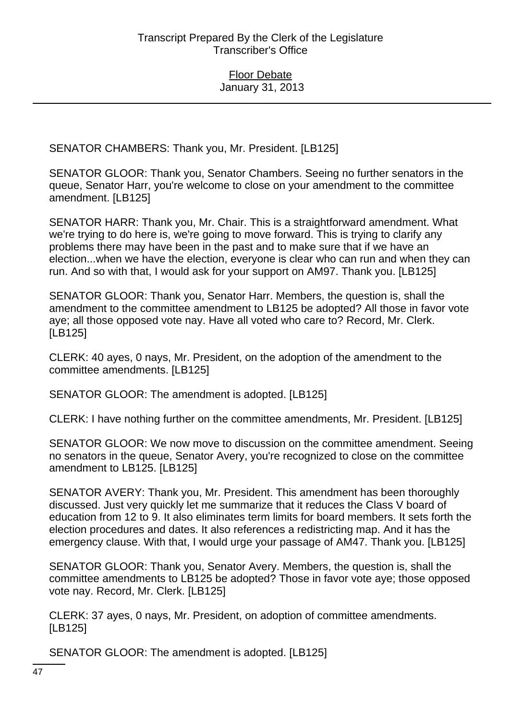SENATOR CHAMBERS: Thank you, Mr. President. [LB125]

SENATOR GLOOR: Thank you, Senator Chambers. Seeing no further senators in the queue, Senator Harr, you're welcome to close on your amendment to the committee amendment. [LB125]

SENATOR HARR: Thank you, Mr. Chair. This is a straightforward amendment. What we're trying to do here is, we're going to move forward. This is trying to clarify any problems there may have been in the past and to make sure that if we have an election...when we have the election, everyone is clear who can run and when they can run. And so with that, I would ask for your support on AM97. Thank you. [LB125]

SENATOR GLOOR: Thank you, Senator Harr. Members, the question is, shall the amendment to the committee amendment to LB125 be adopted? All those in favor vote aye; all those opposed vote nay. Have all voted who care to? Record, Mr. Clerk. [LB125]

CLERK: 40 ayes, 0 nays, Mr. President, on the adoption of the amendment to the committee amendments. [LB125]

SENATOR GLOOR: The amendment is adopted. [LB125]

CLERK: I have nothing further on the committee amendments, Mr. President. [LB125]

SENATOR GLOOR: We now move to discussion on the committee amendment. Seeing no senators in the queue, Senator Avery, you're recognized to close on the committee amendment to LB125. [LB125]

SENATOR AVERY: Thank you, Mr. President. This amendment has been thoroughly discussed. Just very quickly let me summarize that it reduces the Class V board of education from 12 to 9. It also eliminates term limits for board members. It sets forth the election procedures and dates. It also references a redistricting map. And it has the emergency clause. With that, I would urge your passage of AM47. Thank you. [LB125]

SENATOR GLOOR: Thank you, Senator Avery. Members, the question is, shall the committee amendments to LB125 be adopted? Those in favor vote aye; those opposed vote nay. Record, Mr. Clerk. [LB125]

CLERK: 37 ayes, 0 nays, Mr. President, on adoption of committee amendments. [LB125]

SENATOR GLOOR: The amendment is adopted. [LB125]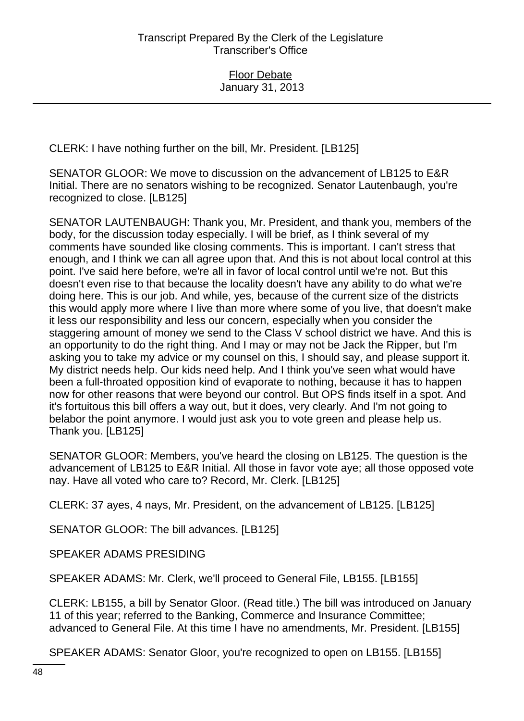CLERK: I have nothing further on the bill, Mr. President. [LB125]

SENATOR GLOOR: We move to discussion on the advancement of LB125 to E&R Initial. There are no senators wishing to be recognized. Senator Lautenbaugh, you're recognized to close. [LB125]

SENATOR LAUTENBAUGH: Thank you, Mr. President, and thank you, members of the body, for the discussion today especially. I will be brief, as I think several of my comments have sounded like closing comments. This is important. I can't stress that enough, and I think we can all agree upon that. And this is not about local control at this point. I've said here before, we're all in favor of local control until we're not. But this doesn't even rise to that because the locality doesn't have any ability to do what we're doing here. This is our job. And while, yes, because of the current size of the districts this would apply more where I live than more where some of you live, that doesn't make it less our responsibility and less our concern, especially when you consider the staggering amount of money we send to the Class V school district we have. And this is an opportunity to do the right thing. And I may or may not be Jack the Ripper, but I'm asking you to take my advice or my counsel on this, I should say, and please support it. My district needs help. Our kids need help. And I think you've seen what would have been a full-throated opposition kind of evaporate to nothing, because it has to happen now for other reasons that were beyond our control. But OPS finds itself in a spot. And it's fortuitous this bill offers a way out, but it does, very clearly. And I'm not going to belabor the point anymore. I would just ask you to vote green and please help us. Thank you. [LB125]

SENATOR GLOOR: Members, you've heard the closing on LB125. The question is the advancement of LB125 to E&R Initial. All those in favor vote aye; all those opposed vote nay. Have all voted who care to? Record, Mr. Clerk. [LB125]

CLERK: 37 ayes, 4 nays, Mr. President, on the advancement of LB125. [LB125]

SENATOR GLOOR: The bill advances. [LB125]

SPEAKER ADAMS PRESIDING

SPEAKER ADAMS: Mr. Clerk, we'll proceed to General File, LB155. [LB155]

CLERK: LB155, a bill by Senator Gloor. (Read title.) The bill was introduced on January 11 of this year; referred to the Banking, Commerce and Insurance Committee; advanced to General File. At this time I have no amendments, Mr. President. [LB155]

SPEAKER ADAMS: Senator Gloor, you're recognized to open on LB155. [LB155]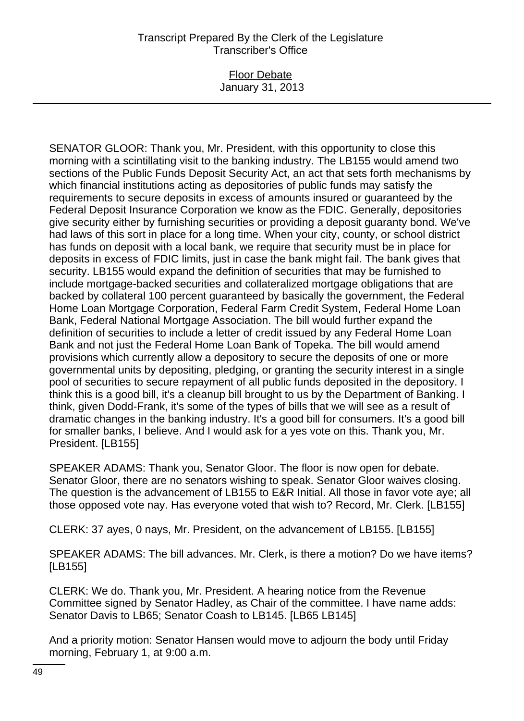#### Floor Debate January 31, 2013

SENATOR GLOOR: Thank you, Mr. President, with this opportunity to close this morning with a scintillating visit to the banking industry. The LB155 would amend two sections of the Public Funds Deposit Security Act, an act that sets forth mechanisms by which financial institutions acting as depositories of public funds may satisfy the requirements to secure deposits in excess of amounts insured or guaranteed by the Federal Deposit Insurance Corporation we know as the FDIC. Generally, depositories give security either by furnishing securities or providing a deposit guaranty bond. We've had laws of this sort in place for a long time. When your city, county, or school district has funds on deposit with a local bank, we require that security must be in place for deposits in excess of FDIC limits, just in case the bank might fail. The bank gives that security. LB155 would expand the definition of securities that may be furnished to include mortgage-backed securities and collateralized mortgage obligations that are backed by collateral 100 percent guaranteed by basically the government, the Federal Home Loan Mortgage Corporation, Federal Farm Credit System, Federal Home Loan Bank, Federal National Mortgage Association. The bill would further expand the definition of securities to include a letter of credit issued by any Federal Home Loan Bank and not just the Federal Home Loan Bank of Topeka. The bill would amend provisions which currently allow a depository to secure the deposits of one or more governmental units by depositing, pledging, or granting the security interest in a single pool of securities to secure repayment of all public funds deposited in the depository. I think this is a good bill, it's a cleanup bill brought to us by the Department of Banking. I think, given Dodd-Frank, it's some of the types of bills that we will see as a result of dramatic changes in the banking industry. It's a good bill for consumers. It's a good bill for smaller banks, I believe. And I would ask for a yes vote on this. Thank you, Mr. President. [LB155]

SPEAKER ADAMS: Thank you, Senator Gloor. The floor is now open for debate. Senator Gloor, there are no senators wishing to speak. Senator Gloor waives closing. The question is the advancement of LB155 to E&R Initial. All those in favor vote aye; all those opposed vote nay. Has everyone voted that wish to? Record, Mr. Clerk. [LB155]

CLERK: 37 ayes, 0 nays, Mr. President, on the advancement of LB155. [LB155]

SPEAKER ADAMS: The bill advances. Mr. Clerk, is there a motion? Do we have items? [LB155]

CLERK: We do. Thank you, Mr. President. A hearing notice from the Revenue Committee signed by Senator Hadley, as Chair of the committee. I have name adds: Senator Davis to LB65; Senator Coash to LB145. [LB65 LB145]

And a priority motion: Senator Hansen would move to adjourn the body until Friday morning, February 1, at 9:00 a.m.